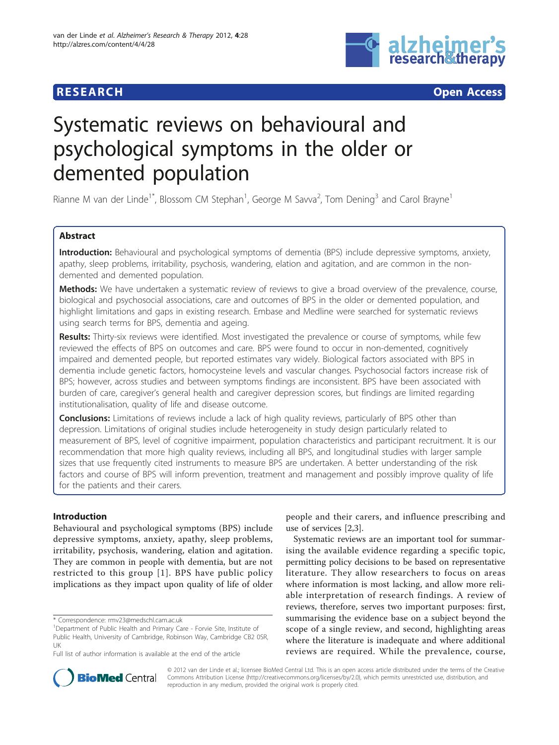

**RESEARCH CONSTRUCTION CONSTRUCTS** 

# Systematic reviews on behavioural and psychological symptoms in the older or demented population

Rianne M van der Linde<sup>1\*</sup>, Blossom CM Stephan<sup>1</sup>, George M Savva<sup>2</sup>, Tom Dening<sup>3</sup> and Carol Brayne<sup>1</sup>

# Abstract

Introduction: Behavioural and psychological symptoms of dementia (BPS) include depressive symptoms, anxiety, apathy, sleep problems, irritability, psychosis, wandering, elation and agitation, and are common in the nondemented and demented population.

Methods: We have undertaken a systematic review of reviews to give a broad overview of the prevalence, course, biological and psychosocial associations, care and outcomes of BPS in the older or demented population, and highlight limitations and gaps in existing research. Embase and Medline were searched for systematic reviews using search terms for BPS, dementia and ageing.

Results: Thirty-six reviews were identified. Most investigated the prevalence or course of symptoms, while few reviewed the effects of BPS on outcomes and care. BPS were found to occur in non-demented, cognitively impaired and demented people, but reported estimates vary widely. Biological factors associated with BPS in dementia include genetic factors, homocysteine levels and vascular changes. Psychosocial factors increase risk of BPS; however, across studies and between symptoms findings are inconsistent. BPS have been associated with burden of care, caregiver's general health and caregiver depression scores, but findings are limited regarding institutionalisation, quality of life and disease outcome.

**Conclusions:** Limitations of reviews include a lack of high quality reviews, particularly of BPS other than depression. Limitations of original studies include heterogeneity in study design particularly related to measurement of BPS, level of cognitive impairment, population characteristics and participant recruitment. It is our recommendation that more high quality reviews, including all BPS, and longitudinal studies with larger sample sizes that use frequently cited instruments to measure BPS are undertaken. A better understanding of the risk factors and course of BPS will inform prevention, treatment and management and possibly improve quality of life for the patients and their carers.

# Introduction

Behavioural and psychological symptoms (BPS) include depressive symptoms, anxiety, apathy, sleep problems, irritability, psychosis, wandering, elation and agitation. They are common in people with dementia, but are not restricted to this group [[1](#page-21-0)]. BPS have public policy implications as they impact upon quality of life of older

\* Correspondence: [rmv23@medschl.cam.ac.uk](mailto:rmv23@medschl.cam.ac.uk)

people and their carers, and influence prescribing and use of services [\[2,3](#page-21-0)].

Systematic reviews are an important tool for summarising the available evidence regarding a specific topic, permitting policy decisions to be based on representative literature. They allow researchers to focus on areas where information is most lacking, and allow more reliable interpretation of research findings. A review of reviews, therefore, serves two important purposes: first, summarising the evidence base on a subject beyond the scope of a single review, and second, highlighting areas where the literature is inadequate and where additional reviews are required. While the prevalence, course,



© 2012 van der Linde et al.; licensee BioMed Central Ltd. This is an open access article distributed under the terms of the Creative Commons Attribution License [\(http://creativecommons.org/licenses/by/2.0](http://creativecommons.org/licenses/by/2.0)), which permits unrestricted use, distribution, and reproduction in any medium, provided the original work is properly cited.

<sup>&</sup>lt;sup>1</sup>Department of Public Health and Primary Care - Forvie Site, Institute of Public Health, University of Cambridge, Robinson Way, Cambridge CB2 0SR, UK

Full list of author information is available at the end of the article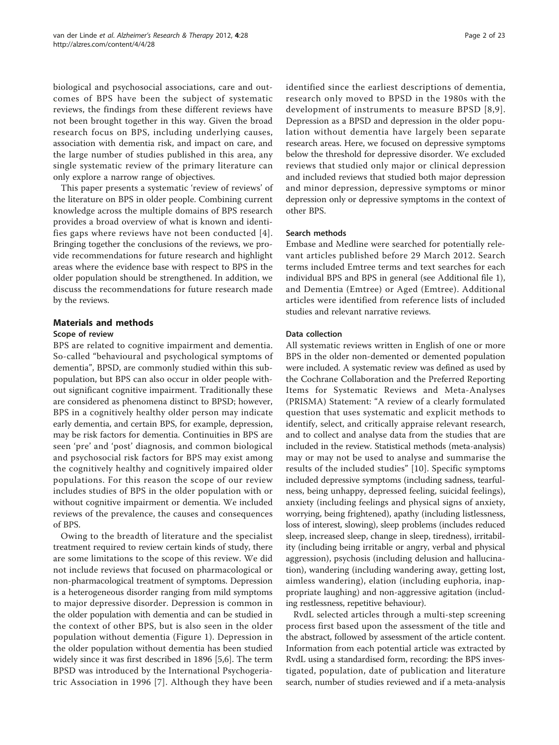biological and psychosocial associations, care and outcomes of BPS have been the subject of systematic reviews, the findings from these different reviews have not been brought together in this way. Given the broad research focus on BPS, including underlying causes, association with dementia risk, and impact on care, and the large number of studies published in this area, any single systematic review of the primary literature can only explore a narrow range of objectives.

This paper presents a systematic 'review of reviews' of the literature on BPS in older people. Combining current knowledge across the multiple domains of BPS research provides a broad overview of what is known and identifies gaps where reviews have not been conducted [[4\]](#page-21-0). Bringing together the conclusions of the reviews, we provide recommendations for future research and highlight areas where the evidence base with respect to BPS in the older population should be strengthened. In addition, we discuss the recommendations for future research made by the reviews.

#### Materials and methods

#### Scope of review

BPS are related to cognitive impairment and dementia. So-called "behavioural and psychological symptoms of dementia", BPSD, are commonly studied within this subpopulation, but BPS can also occur in older people without significant cognitive impairment. Traditionally these are considered as phenomena distinct to BPSD; however, BPS in a cognitively healthy older person may indicate early dementia, and certain BPS, for example, depression, may be risk factors for dementia. Continuities in BPS are seen 'pre' and 'post' diagnosis, and common biological and psychosocial risk factors for BPS may exist among the cognitively healthy and cognitively impaired older populations. For this reason the scope of our review includes studies of BPS in the older population with or without cognitive impairment or dementia. We included reviews of the prevalence, the causes and consequences of BPS.

Owing to the breadth of literature and the specialist treatment required to review certain kinds of study, there are some limitations to the scope of this review. We did not include reviews that focused on pharmacological or non-pharmacological treatment of symptoms. Depression is a heterogeneous disorder ranging from mild symptoms to major depressive disorder. Depression is common in the older population with dementia and can be studied in the context of other BPS, but is also seen in the older population without dementia (Figure [1\)](#page-2-0). Depression in the older population without dementia has been studied widely since it was first described in 1896 [\[5,6\]](#page-21-0). The term BPSD was introduced by the International Psychogeriatric Association in 1996 [[7\]](#page-21-0). Although they have been identified since the earliest descriptions of dementia, research only moved to BPSD in the 1980s with the development of instruments to measure BPSD [[8,9\]](#page-21-0). Depression as a BPSD and depression in the older population without dementia have largely been separate research areas. Here, we focused on depressive symptoms below the threshold for depressive disorder. We excluded reviews that studied only major or clinical depression and included reviews that studied both major depression and minor depression, depressive symptoms or minor depression only or depressive symptoms in the context of other BPS.

#### Search methods

Embase and Medline were searched for potentially relevant articles published before 29 March 2012. Search terms included Emtree terms and text searches for each individual BPS and BPS in general (see Additional file [1](#page-20-0)), and Dementia (Emtree) or Aged (Emtree). Additional articles were identified from reference lists of included studies and relevant narrative reviews.

#### Data collection

All systematic reviews written in English of one or more BPS in the older non-demented or demented population were included. A systematic review was defined as used by the Cochrane Collaboration and the Preferred Reporting Items for Systematic Reviews and Meta-Analyses (PRISMA) Statement: "A review of a clearly formulated question that uses systematic and explicit methods to identify, select, and critically appraise relevant research, and to collect and analyse data from the studies that are included in the review. Statistical methods (meta-analysis) may or may not be used to analyse and summarise the results of the included studies" [[10\]](#page-21-0). Specific symptoms included depressive symptoms (including sadness, tearfulness, being unhappy, depressed feeling, suicidal feelings), anxiety (including feelings and physical signs of anxiety, worrying, being frightened), apathy (including listlessness, loss of interest, slowing), sleep problems (includes reduced sleep, increased sleep, change in sleep, tiredness), irritability (including being irritable or angry, verbal and physical aggression), psychosis (including delusion and hallucination), wandering (including wandering away, getting lost, aimless wandering), elation (including euphoria, inappropriate laughing) and non-aggressive agitation (including restlessness, repetitive behaviour).

RvdL selected articles through a multi-step screening process first based upon the assessment of the title and the abstract, followed by assessment of the article content. Information from each potential article was extracted by RvdL using a standardised form, recording: the BPS investigated, population, date of publication and literature search, number of studies reviewed and if a meta-analysis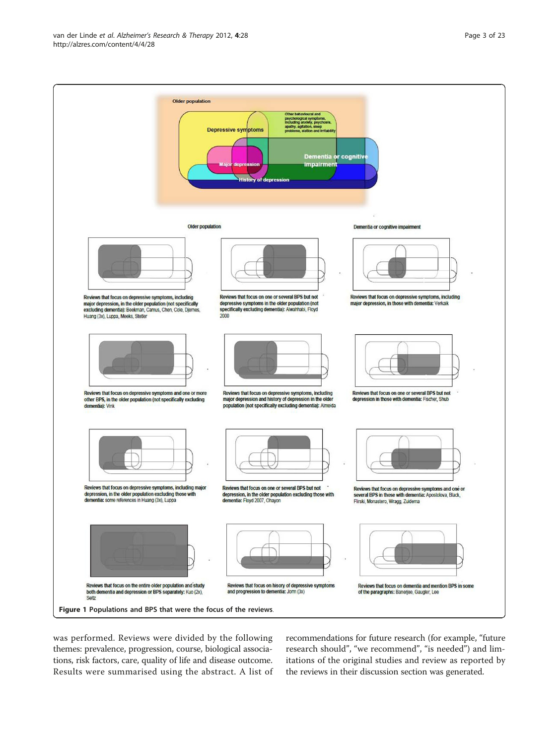<span id="page-2-0"></span>

was performed. Reviews were divided by the following themes: prevalence, progression, course, biological associations, risk factors, care, quality of life and disease outcome. Results were summarised using the abstract. A list of recommendations for future research (for example, "future research should", "we recommend", "is needed") and limitations of the original studies and review as reported by the reviews in their discussion section was generated.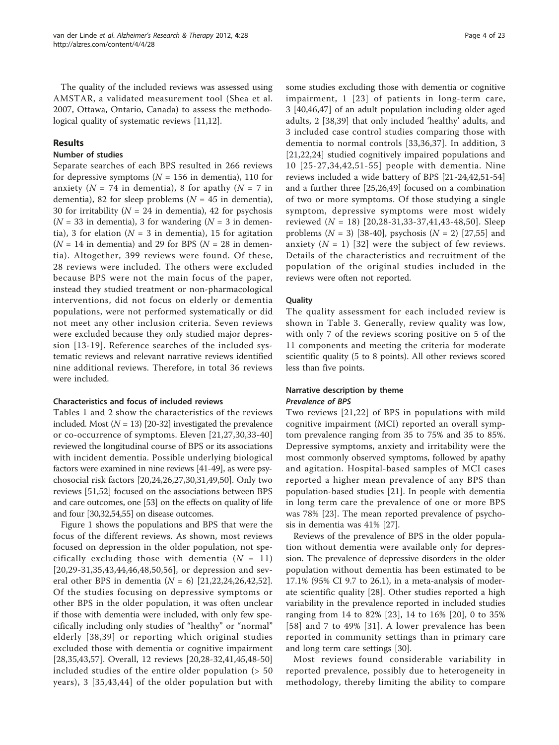The quality of the included reviews was assessed using AMSTAR, a validated measurement tool (Shea et al. 2007, Ottawa, Ontario, Canada) to assess the methodological quality of systematic reviews [[11,12](#page-21-0)].

#### Results

#### Number of studies

Separate searches of each BPS resulted in 266 reviews for depressive symptoms ( $N = 156$  in dementia), 110 for anxiety ( $N = 74$  in dementia), 8 for apathy ( $N = 7$  in dementia), 82 for sleep problems ( $N = 45$  in dementia), 30 for irritability ( $N = 24$  in dementia), 42 for psychosis ( $N = 33$  in dementia), 3 for wandering ( $N = 3$  in dementia), 3 for elation ( $N = 3$  in dementia), 15 for agitation  $(N = 14$  in dementia) and 29 for BPS  $(N = 28$  in dementia). Altogether, 399 reviews were found. Of these, 28 reviews were included. The others were excluded because BPS were not the main focus of the paper, instead they studied treatment or non-pharmacological interventions, did not focus on elderly or dementia populations, were not performed systematically or did not meet any other inclusion criteria. Seven reviews were excluded because they only studied major depression [[13](#page-21-0)-[19\]](#page-21-0). Reference searches of the included systematic reviews and relevant narrative reviews identified nine additional reviews. Therefore, in total 36 reviews were included.

#### Characteristics and focus of included reviews

Tables [1](#page-4-0) and [2](#page-8-0) show the characteristics of the reviews included. Most  $(N = 13)$  [\[20](#page-21-0)-[32](#page-21-0)] investigated the prevalence or co-occurrence of symptoms. Eleven [[21,27](#page-21-0),[30,33](#page-21-0)-[40](#page-21-0)] reviewed the longitudinal course of BPS or its associations with incident dementia. Possible underlying biological factors were examined in nine reviews [\[41](#page-21-0)[-49\]](#page-22-0), as were psychosocial risk factors [\[20,24](#page-21-0),[26](#page-21-0),[27,30,31,](#page-21-0)[49,50](#page-22-0)]. Only two reviews [\[51](#page-22-0),[52](#page-22-0)] focused on the associations between BPS and care outcomes, one [[53](#page-22-0)] on the effects on quality of life and four [[30,32](#page-21-0)[,54,55](#page-22-0)] on disease outcomes.

Figure [1](#page-2-0) shows the populations and BPS that were the focus of the different reviews. As shown, most reviews focused on depression in the older population, not specifically excluding those with dementia  $(N = 11)$ [[20](#page-21-0),[29-31,35,43,](#page-21-0)[44,46,48,50,56](#page-22-0)], or depression and several other BPS in dementia ( $N = 6$ ) [\[21](#page-21-0),[22,24,26](#page-21-0),[42,](#page-21-0)[52](#page-22-0)]. Of the studies focusing on depressive symptoms or other BPS in the older population, it was often unclear if those with dementia were included, with only few specifically including only studies of "healthy" or "normal" elderly [[38](#page-21-0),[39\]](#page-21-0) or reporting which original studies excluded those with dementia or cognitive impairment [[28,35,43](#page-21-0)[,57](#page-22-0)]. Overall, 12 reviews [[20,28-32](#page-21-0),[41](#page-21-0),[45,48-50](#page-22-0)] included studies of the entire older population (> 50 years), 3 [\[35,43](#page-21-0),[44](#page-22-0)] of the older population but with some studies excluding those with dementia or cognitive impairment, 1 [[23\]](#page-21-0) of patients in long-term care, 3 [\[40](#page-21-0)[,46,47](#page-22-0)] of an adult population including older aged adults, 2 [[38,39\]](#page-21-0) that only included 'healthy' adults, and 3 included case control studies comparing those with dementia to normal controls [\[33,36](#page-21-0),[37\]](#page-21-0). In addition, 3 [[21,22,24](#page-21-0)] studied cognitively impaired populations and 10 [[25-27,34](#page-21-0),[42](#page-21-0),[51-55\]](#page-22-0) people with dementia. Nine reviews included a wide battery of BPS [\[21](#page-21-0)-[24,42,](#page-21-0)[51-54](#page-22-0)] and a further three [\[25,26](#page-21-0)[,49](#page-22-0)] focused on a combination of two or more symptoms. Of those studying a single symptom, depressive symptoms were most widely reviewed  $(N = 18)$  [[20,28-31,33-37,41](#page-21-0),[43-](#page-21-0)[48,50\]](#page-22-0). Sleep problems  $(N = 3)$  [[38-40](#page-21-0)], psychosis  $(N = 2)$  [\[27](#page-21-0)[,55\]](#page-22-0) and anxiety  $(N = 1)$  [[32](#page-21-0)] were the subject of few reviews. Details of the characteristics and recruitment of the population of the original studies included in the reviews were often not reported.

#### **Quality**

The quality assessment for each included review is shown in Table [3](#page-14-0). Generally, review quality was low, with only 7 of the reviews scoring positive on 5 of the 11 components and meeting the criteria for moderate scientific quality (5 to 8 points). All other reviews scored less than five points.

#### Narrative description by theme Prevalence of BPS

Two reviews [[21](#page-21-0),[22\]](#page-21-0) of BPS in populations with mild cognitive impairment (MCI) reported an overall symptom prevalence ranging from 35 to 75% and 35 to 85%. Depressive symptoms, anxiety and irritability were the most commonly observed symptoms, followed by apathy and agitation. Hospital-based samples of MCI cases reported a higher mean prevalence of any BPS than population-based studies [[21](#page-21-0)]. In people with dementia in long term care the prevalence of one or more BPS was 78% [\[23](#page-21-0)]. The mean reported prevalence of psychosis in dementia was 41% [\[27\]](#page-21-0).

Reviews of the prevalence of BPS in the older population without dementia were available only for depression. The prevalence of depressive disorders in the older population without dementia has been estimated to be 17.1% (95% CI 9.7 to 26.1), in a meta-analysis of moderate scientific quality [\[28](#page-21-0)]. Other studies reported a high variability in the prevalence reported in included studies ranging from 14 to 82% [\[23](#page-21-0)], 14 to 16% [[20](#page-21-0)], 0 to 35% [[58\]](#page-22-0) and 7 to 49% [\[31\]](#page-21-0). A lower prevalence has been reported in community settings than in primary care and long term care settings [[30](#page-21-0)].

Most reviews found considerable variability in reported prevalence, possibly due to heterogeneity in methodology, thereby limiting the ability to compare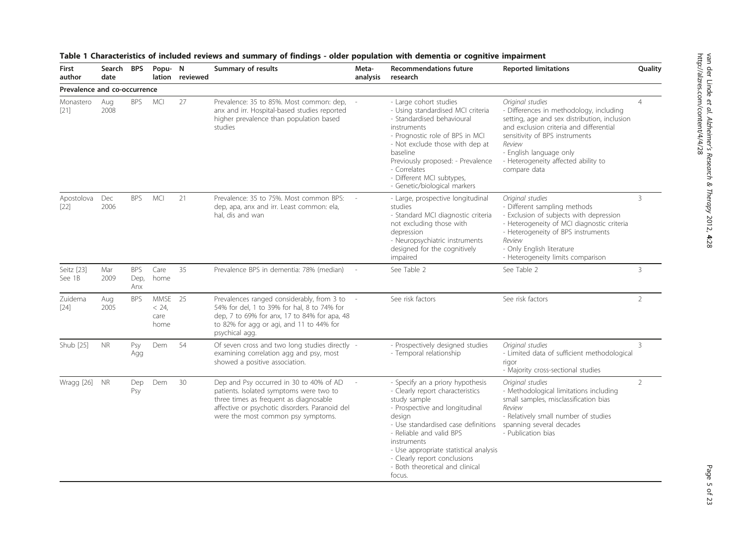| First<br>author              | Search<br>date | <b>BPS</b>                | Popu- N<br>lation                | reviewed | <b>Summary of results</b>                                                                                                                                                                                            | Meta-<br>analysis | <b>Recommendations future</b><br>research                                                                                                                                                                                                                                                                                                 | <b>Reported limitations</b>                                                                                                                                                                                                                                                          | Quality        |
|------------------------------|----------------|---------------------------|----------------------------------|----------|----------------------------------------------------------------------------------------------------------------------------------------------------------------------------------------------------------------------|-------------------|-------------------------------------------------------------------------------------------------------------------------------------------------------------------------------------------------------------------------------------------------------------------------------------------------------------------------------------------|--------------------------------------------------------------------------------------------------------------------------------------------------------------------------------------------------------------------------------------------------------------------------------------|----------------|
| Prevalence and co-occurrence |                |                           |                                  |          |                                                                                                                                                                                                                      |                   |                                                                                                                                                                                                                                                                                                                                           |                                                                                                                                                                                                                                                                                      |                |
| Monastero<br>$[21]$          | Aug<br>2008    | <b>BPS</b>                | <b>MCI</b>                       | 27       | Prevalence: 35 to 85%. Most common: dep,<br>anx and irr. Hospital-based studies reported<br>higher prevalence than population based<br>studies                                                                       |                   | - Large cohort studies<br>- Using standardised MCI criteria<br>- Standardised behavioural<br>instruments<br>- Prognostic role of BPS in MCI<br>- Not exclude those with dep at<br>baseline<br>Previously proposed: - Prevalence<br>- Correlates<br>- Different MCI subtypes,<br>- Genetic/biological markers                              | Original studies<br>- Differences in methodology, including<br>setting, age and sex distribution, inclusion<br>and exclusion criteria and differential<br>sensitivity of BPS instruments<br>Review<br>- English language only<br>- Heterogeneity affected ability to<br>compare data | $\overline{4}$ |
| Apostolova<br>$[22]$         | Dec<br>2006    | <b>BPS</b>                | <b>MCI</b>                       | 21       | Prevalence: 35 to 75%. Most common BPS:<br>dep, apa, anx and irr. Least common: ela,<br>hal, dis and wan                                                                                                             |                   | - Large, prospective longitudinal<br>studies<br>- Standard MCI diagnostic criteria<br>not excluding those with<br>depression<br>- Neuropsychiatric instruments<br>designed for the cognitively<br>impaired                                                                                                                                | Original studies<br>- Different sampling methods<br>- Exclusion of subjects with depression<br>- Heterogeneity of MCI diagnostic criteria<br>- Heterogeneity of BPS instruments<br>Review<br>- Only English literature<br>- Heterogeneity limits comparison                          | 3              |
| Seitz [23]<br>See 1B         | Mar<br>2009    | <b>BPS</b><br>Dep,<br>Anx | Care<br>home                     | 35       | Prevalence BPS in dementia: 78% (median)                                                                                                                                                                             |                   | See Table 2                                                                                                                                                                                                                                                                                                                               | See Table 2                                                                                                                                                                                                                                                                          | 3              |
| Zuidema<br>$[24]$            | Aug<br>2005    | <b>BPS</b>                | MMSE<br>$< 24$ ,<br>care<br>home | 25       | Prevalences ranged considerably, from 3 to -<br>54% for del, 1 to 39% for hal, 8 to 74% for<br>dep, 7 to 69% for anx, 17 to 84% for apa, 48<br>to 82% for agg or agi, and 11 to 44% for<br>psychical agg.            |                   | See risk factors                                                                                                                                                                                                                                                                                                                          | See risk factors                                                                                                                                                                                                                                                                     | $\overline{2}$ |
| Shub [25]                    | <b>NR</b>      | Psy<br>Agg                | Dem                              | 54       | Of seven cross and two long studies directly -<br>examining correlation agg and psy, most<br>showed a positive association.                                                                                          |                   | - Prospectively designed studies<br>- Temporal relationship                                                                                                                                                                                                                                                                               | Original studies<br>- Limited data of sufficient methodological<br>riaor<br>- Majority cross-sectional studies                                                                                                                                                                       | 3              |
| Wragg [26]                   | <b>NR</b>      | Dep<br>Psy                | Dem                              | 30       | Dep and Psy occurred in 30 to 40% of AD<br>patients. Isolated symptoms were two to<br>three times as frequent as diagnosable<br>affective or psychotic disorders. Paranoid del<br>were the most common psy symptoms. |                   | - Specify an a priory hypothesis<br>- Clearly report characteristics<br>study sample<br>- Prospective and longitudinal<br>design<br>- Use standardised case definitions<br>- Reliable and valid BPS<br>instruments<br>- Use appropriate statistical analysis<br>- Clearly report conclusions<br>- Both theoretical and clinical<br>focus. | Original studies<br>- Methodological limitations including<br>small samples, misclassification bias<br>Review<br>- Relatively small number of studies<br>spanning several decades<br>- Publication bias                                                                              | $\overline{2}$ |

<span id="page-4-0"></span>

| Table 1 Characteristics of included reviews and summary of findings - older population with dementia or cognitive impairment |  |  |  |  |  |  |
|------------------------------------------------------------------------------------------------------------------------------|--|--|--|--|--|--|
|------------------------------------------------------------------------------------------------------------------------------|--|--|--|--|--|--|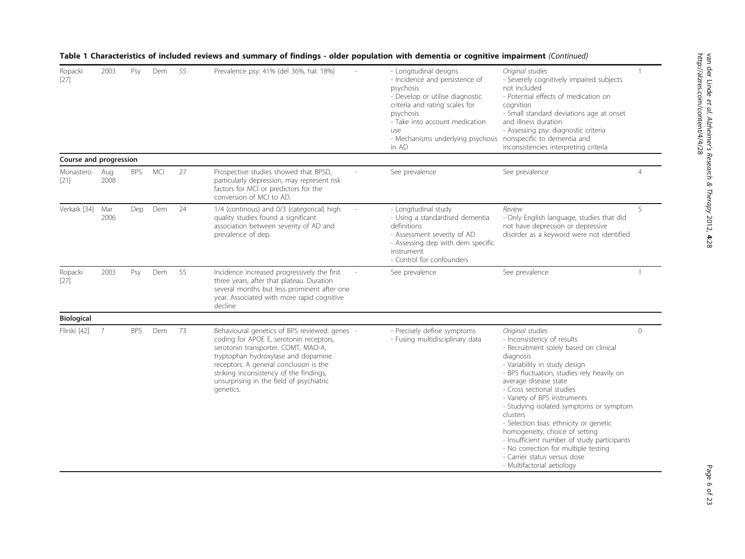| Ropacki<br>$[27]$      | 2003           | Psy        | Dem        | 55 | Prevalence psy: 41% (del 36%, hal: 18%)                                                                                                                                                                                                                                                                              | - Longitudinal designs<br>- Incidence and persistence of<br>psychosis<br>- Develop or utilise diagnostic<br>criteria and rating scales for<br>psychosis<br>- Take into account medication<br>use<br>- Mechanisms underlying psychosis<br>in AD | Original studies<br>- Severely cognitively impaired subjects<br>not included<br>- Potential effects of medication on<br>cognition<br>- Small standard deviations age at onset<br>and illness duration<br>- Assessing psy: diagnostic criteria<br>nonspecific to dementia and<br>inconsistencies interpreting criteria                                                                                                                                                                                                                                              |                |
|------------------------|----------------|------------|------------|----|----------------------------------------------------------------------------------------------------------------------------------------------------------------------------------------------------------------------------------------------------------------------------------------------------------------------|------------------------------------------------------------------------------------------------------------------------------------------------------------------------------------------------------------------------------------------------|--------------------------------------------------------------------------------------------------------------------------------------------------------------------------------------------------------------------------------------------------------------------------------------------------------------------------------------------------------------------------------------------------------------------------------------------------------------------------------------------------------------------------------------------------------------------|----------------|
| Course and progression |                |            |            |    |                                                                                                                                                                                                                                                                                                                      |                                                                                                                                                                                                                                                |                                                                                                                                                                                                                                                                                                                                                                                                                                                                                                                                                                    |                |
| Monastero<br>[21]      | Aug<br>2008    | <b>BPS</b> | <b>MCI</b> | 27 | Prospective studies showed that BPSD,<br>particularly depression, may represent risk<br>factors for MCI or predictors for the<br>conversion of MCI to AD.                                                                                                                                                            | See prevalence                                                                                                                                                                                                                                 | See prevalence                                                                                                                                                                                                                                                                                                                                                                                                                                                                                                                                                     | $\overline{4}$ |
| Verkaik [34]           | Mar<br>2006    | Dep        | Dem        | 24 | 1/4 (continous) and 0/3 (categorical) high<br>quality studies found a significant<br>association between severity of AD and<br>prevalence of dep.                                                                                                                                                                    | - Longitudinal study<br>- Using a standardised dementia<br>definitions<br>- Assessment severity of AD<br>- Assessing dep with dem specific<br>instrument<br>- Control for confounders                                                          | Review<br>- Only English language, studies that did<br>not have depression or depressive<br>disorder as a keyword were not identified                                                                                                                                                                                                                                                                                                                                                                                                                              | 5              |
| Ropacki<br>$[27]$      | 2003           | Psy        | Dem        | 55 | Incidence increased progressively the first<br>three years, after that plateau. Duration<br>several months but less prominent after one<br>year. Associated with more rapid cognitive<br>decline                                                                                                                     | See prevalence                                                                                                                                                                                                                                 | See prevalence                                                                                                                                                                                                                                                                                                                                                                                                                                                                                                                                                     |                |
| <b>Biological</b>      |                |            |            |    |                                                                                                                                                                                                                                                                                                                      |                                                                                                                                                                                                                                                |                                                                                                                                                                                                                                                                                                                                                                                                                                                                                                                                                                    |                |
| Flirski [42]           | $\overline{?}$ | <b>BPS</b> | Dem        | 73 | Behavioural genetics of BPS reviewed: genes -<br>coding for APOE E, serotonin receptors,<br>serotonin transporter, COMT, MAO-A,<br>tryptophan hydroxylase and dopamine<br>receptors. A general conclusion is the<br>striking inconsistency of the findings,<br>unsurprising in the field of psychiatric<br>genetics. | - Precisely define symptoms<br>- Fusing multidisciplinary data                                                                                                                                                                                 | Original studies<br>- Inconsistency of results<br>- Recruitment solely based on clinical<br>diagnosis<br>- Variability in study design<br>- BPS fluctuation, studies rely heavily on<br>average disease state<br>- Cross sectional studies<br>- Variety of BPS instruments<br>- Studying isolated symptoms or symptom<br>clusters<br>- Selection bias: ethnicity or genetic<br>homogeneity, choice of setting<br>- Insufficient number of study participants<br>- No correction for multiple testing<br>- Carrier status versus dose<br>- Multifactorial aetiology | $\Omega$       |

# Table 1 Characteristics of included reviews and summary of findings - older population with dementia or cognitive impairment (Continued)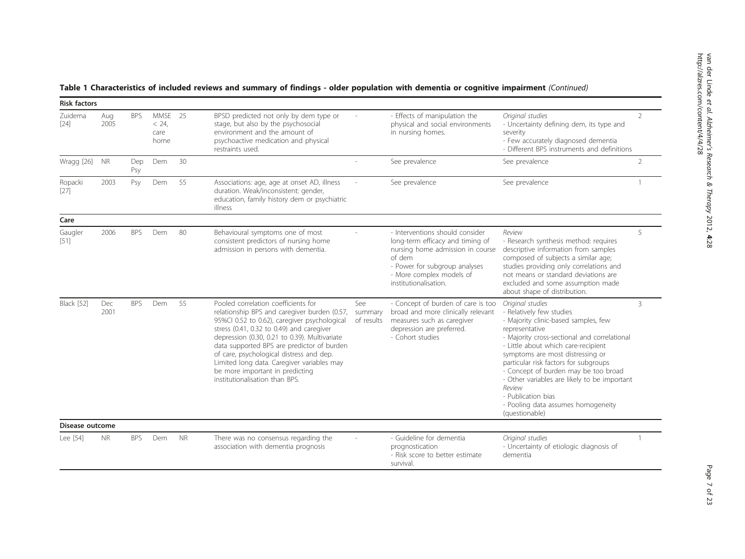| Risk factors      |             |            |                                      |           |                                                                                                                                                                                                                                                                                                                                                                                                                                                |                              |                                                                                                                                                                                                         |                                                                                                                                                                                                                                                                                                                                                                                                                                                            |   |
|-------------------|-------------|------------|--------------------------------------|-----------|------------------------------------------------------------------------------------------------------------------------------------------------------------------------------------------------------------------------------------------------------------------------------------------------------------------------------------------------------------------------------------------------------------------------------------------------|------------------------------|---------------------------------------------------------------------------------------------------------------------------------------------------------------------------------------------------------|------------------------------------------------------------------------------------------------------------------------------------------------------------------------------------------------------------------------------------------------------------------------------------------------------------------------------------------------------------------------------------------------------------------------------------------------------------|---|
| Zuidema<br>$[24]$ | Aug<br>2005 | <b>BPS</b> | <b>MMSE</b><br>< 24.<br>care<br>home | 25        | BPSD predicted not only by dem type or<br>stage, but also by the psychosocial<br>environment and the amount of<br>psychoactive medication and physical<br>restraints used.                                                                                                                                                                                                                                                                     |                              | - Effects of manipulation the<br>physical and social environments<br>in nursing homes.                                                                                                                  | Original studies<br>- Uncertainty defining dem, its type and<br>severity<br>- Few accurately diagnosed dementia<br>- Different BPS instruments and definitions                                                                                                                                                                                                                                                                                             | 2 |
| Wragg [26]        | <b>NR</b>   | Dep<br>Psy | Dem                                  | 30        |                                                                                                                                                                                                                                                                                                                                                                                                                                                |                              | See prevalence                                                                                                                                                                                          | See prevalence                                                                                                                                                                                                                                                                                                                                                                                                                                             | 2 |
| Ropacki<br>$[27]$ | 2003        | Psy        | Dem                                  | 55        | Associations: age, age at onset AD, illness<br>duration. Weak/inconsistent: gender,<br>education, family history dem or psychiatric<br>illness                                                                                                                                                                                                                                                                                                 |                              | See prevalence                                                                                                                                                                                          | See prevalence                                                                                                                                                                                                                                                                                                                                                                                                                                             |   |
| Care              |             |            |                                      |           |                                                                                                                                                                                                                                                                                                                                                                                                                                                |                              |                                                                                                                                                                                                         |                                                                                                                                                                                                                                                                                                                                                                                                                                                            |   |
| Gaugler<br>$[51]$ | 2006        | <b>BPS</b> | Dem                                  | 80        | Behavioural symptoms one of most<br>consistent predictors of nursing home<br>admission in persons with dementia.                                                                                                                                                                                                                                                                                                                               |                              | - Interventions should consider<br>long-term efficacy and timing of<br>nursing home admission in course<br>of dem<br>- Power for subgroup analyses<br>- More complex models of<br>institutionalisation. | Review<br>- Research synthesis method: requires<br>descriptive information from samples<br>composed of subjects a similar age;<br>studies providing only correlations and<br>not means or standard deviations are<br>excluded and some assumption made<br>about shape of distribution.                                                                                                                                                                     | 5 |
| <b>Black</b> [52] | Dec<br>2001 | <b>BPS</b> | Dem                                  | 55        | Pooled correlation coefficients for<br>relationship BPS and caregiver burden (0.57,<br>95%Cl 0.52 to 0.62), caregiver psychological<br>stress (0.41, 0.32 to 0.49) and caregiver<br>depression (0.30, 0.21 to 0.39). Multivariate<br>data supported BPS are predictor of burden<br>of care, psychological distress and dep.<br>Limited long data. Caregiver variables may<br>be more important in predicting<br>institutionalisation than BPS. | See<br>summary<br>of results | - Concept of burden of care is too<br>broad and more clinically relevant<br>measures such as caregiver<br>depression are preferred.<br>- Cohort studies                                                 | Original studies<br>- Relatively few studies<br>- Majority clinic-based samples, few<br>representative<br>- Majority cross-sectional and correlational<br>- Little about which care-recipient<br>symptoms are most distressing or<br>particular risk factors for subgroups<br>- Concept of burden may be too broad<br>- Other variables are likely to be important<br>Review<br>- Publication bias<br>- Pooling data assumes homogeneity<br>(questionable) | 3 |
| Disease outcome   |             |            |                                      |           |                                                                                                                                                                                                                                                                                                                                                                                                                                                |                              |                                                                                                                                                                                                         |                                                                                                                                                                                                                                                                                                                                                                                                                                                            |   |
| Lee [54]          | <b>NR</b>   | <b>BPS</b> | Dem                                  | <b>NR</b> | There was no consensus regarding the<br>association with dementia prognosis                                                                                                                                                                                                                                                                                                                                                                    |                              | - Guideline for dementia<br>prognostication<br>- Risk score to better estimate<br>survival.                                                                                                             | Original studies<br>- Uncertainty of etiologic diagnosis of<br>dementia                                                                                                                                                                                                                                                                                                                                                                                    |   |

## Table 1 Characteristics of included reviews and summary of findings - older population with dementia or cognitive impairment (Continued)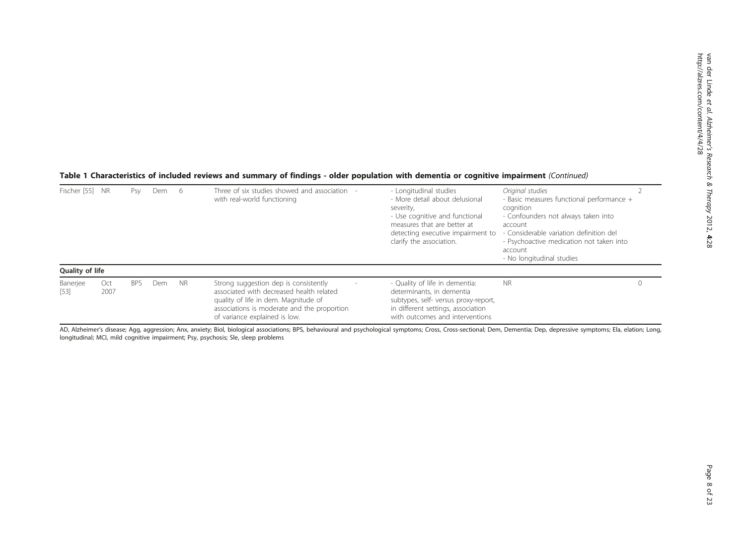#### Table 1 Characteristics of included reviews and summary of findings - older population with dementia or cognitive impairment (Continued)

| Fischer [55]       | - NR        | Psv        | Dem | 6         | Three of six studies showed and association<br>with real-world functioning                                                                                                                                | - Longitudinal studies<br>- More detail about delusional<br>severity,<br>- Use cognitive and functional<br>measures that are better at<br>detecting executive impairment to<br>clarify the association. | Original studies<br>- Basic measures functional performance +<br>cognition<br>- Confounders not always taken into<br>account<br>- Considerable variation definition del<br>- Psychoactive medication not taken into<br>account<br>- No longitudinal studies |  |
|--------------------|-------------|------------|-----|-----------|-----------------------------------------------------------------------------------------------------------------------------------------------------------------------------------------------------------|---------------------------------------------------------------------------------------------------------------------------------------------------------------------------------------------------------|-------------------------------------------------------------------------------------------------------------------------------------------------------------------------------------------------------------------------------------------------------------|--|
| Quality of life    |             |            |     |           |                                                                                                                                                                                                           |                                                                                                                                                                                                         |                                                                                                                                                                                                                                                             |  |
| Banerjee<br>$[53]$ | Oct<br>2007 | <b>BPS</b> | Dem | <b>NR</b> | Strong suggestion dep is consistently<br>associated with decreased health related<br>quality of life in dem. Magnitude of<br>associations is moderate and the proportion<br>of variance explained is low. | - Quality of life in dementia:<br>determinants, in dementia<br>subtypes, self- versus proxy-report,<br>in different settings, association<br>with outcomes and interventions                            | <b>NR</b>                                                                                                                                                                                                                                                   |  |

AD, Alzheimer's disease; Agg, aggression; Anx, anxiety; Biol, biological associations; BPS, behavioural and psychological symptoms; Cross, Cross-sectional; Dem, Dementia; Dep, depressive symptoms; Ela, elation; Long, longitudinal; MCI, mild cognitive impairment; Psy, psychosis; Sle, sleep problems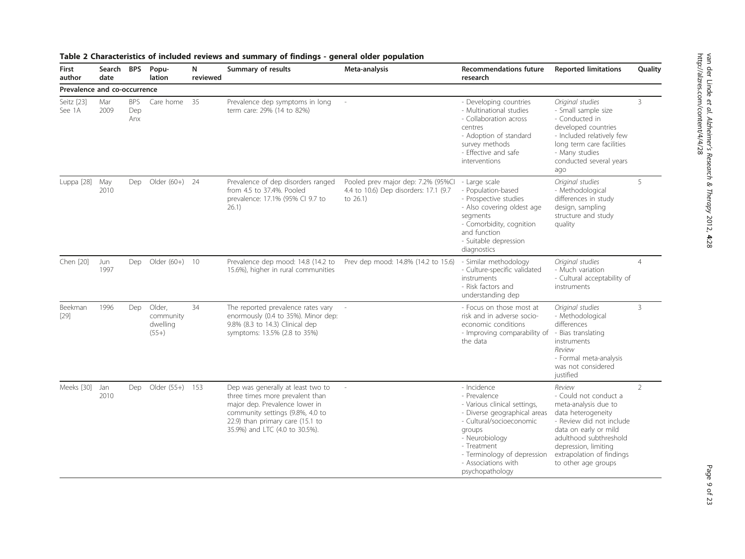<span id="page-8-0"></span>

| First<br>author              | Search<br>date | <b>BPS</b>               | Popu-<br>lation                            | N<br>reviewed | <b>Summary of results</b>                                                                                                                                                                                        | Meta-analysis                                                                           | <b>Recommendations future</b><br>research                                                                                                                                                                                                   | <b>Reported limitations</b>                                                                                                                                                                                                              | Quality        |
|------------------------------|----------------|--------------------------|--------------------------------------------|---------------|------------------------------------------------------------------------------------------------------------------------------------------------------------------------------------------------------------------|-----------------------------------------------------------------------------------------|---------------------------------------------------------------------------------------------------------------------------------------------------------------------------------------------------------------------------------------------|------------------------------------------------------------------------------------------------------------------------------------------------------------------------------------------------------------------------------------------|----------------|
| Prevalence and co-occurrence |                |                          |                                            |               |                                                                                                                                                                                                                  |                                                                                         |                                                                                                                                                                                                                                             |                                                                                                                                                                                                                                          |                |
| Seitz [23]<br>See 1A         | Mar<br>2009    | <b>BPS</b><br>Dep<br>Anx | Care home                                  | 35            | Prevalence dep symptoms in long<br>term care: 29% (14 to 82%)                                                                                                                                                    | $\sim$                                                                                  | - Developing countries<br>- Multinational studies<br>- Collaboration across<br>centres<br>- Adoption of standard<br>survey methods<br>- Effective and safe<br>interventions                                                                 | Original studies<br>- Small sample size<br>- Conducted in<br>developed countries<br>- Included relatively few<br>long term care facilities<br>- Many studies<br>conducted several years<br>ago                                           | 3              |
| Luppa [28]                   | May<br>2010    | Dep                      | Older (60+) 24                             |               | Prevalence of dep disorders ranged<br>from 4.5 to 37.4%. Pooled<br>prevalence: 17.1% (95% CI 9.7 to<br>26.1)                                                                                                     | Pooled prev major dep: 7.2% (95%CI<br>4.4 to 10.6) Dep disorders: 17.1 (9.7<br>to 26.1) | - Large scale<br>- Population-based<br>- Prospective studies<br>- Also covering oldest age<br>segments<br>- Comorbidity, cognition<br>and function<br>- Suitable depression<br>diagnostics                                                  | Original studies<br>- Methodological<br>differences in study<br>design, sampling<br>structure and study<br>quality                                                                                                                       | 5              |
| Chen [20]                    | Jun<br>1997    | Dep                      | Older (60+) 10                             |               | Prevalence dep mood: 14.8 (14.2 to<br>15.6%), higher in rural communities                                                                                                                                        | Prev dep mood: 14.8% (14.2 to 15.6)                                                     | - Similar methodology<br>- Culture-specific validated<br>instruments<br>- Risk factors and<br>understanding dep                                                                                                                             | Original studies<br>- Much variation<br>- Cultural acceptability of<br>instruments                                                                                                                                                       | $\overline{4}$ |
| Beekman<br>$[29]$            | 1996           | Dep                      | Older,<br>community<br>dwelling<br>$(55+)$ | 34            | The reported prevalence rates vary<br>enormously (0.4 to 35%). Minor dep:<br>9.8% (8.3 to 14.3) Clinical dep<br>symptoms: 13.5% (2.8 to 35%)                                                                     |                                                                                         | - Focus on those most at<br>risk and in adverse socio-<br>economic conditions<br>- Improving comparability of<br>the data                                                                                                                   | Original studies<br>- Methodological<br>differences<br>- Bias translating<br>instruments<br>Review<br>- Formal meta-analysis<br>was not considered<br>justified                                                                          | 3              |
| Meeks [30]                   | Jan<br>2010    | Dep                      | Older $(55+)$                              | 153           | Dep was generally at least two to<br>three times more prevalent than<br>major dep. Prevalence lower in<br>community settings (9.8%, 4.0 to<br>22.9) than primary care (15.1 to<br>35.9%) and LTC (4.0 to 30.5%). |                                                                                         | - Incidence<br>- Prevalence<br>- Various clinical settings,<br>- Diverse geographical areas<br>- Cultural/socioeconomic<br>groups<br>- Neurobiology<br>- Treatment<br>- Terminology of depression<br>- Associations with<br>psychopathology | Review<br>- Could not conduct a<br>meta-analysis due to<br>data heterogeneity<br>- Review did not include<br>data on early or mild<br>adulthood subthreshold<br>depression, limiting<br>extrapolation of findings<br>to other age groups | $\mathcal{P}$  |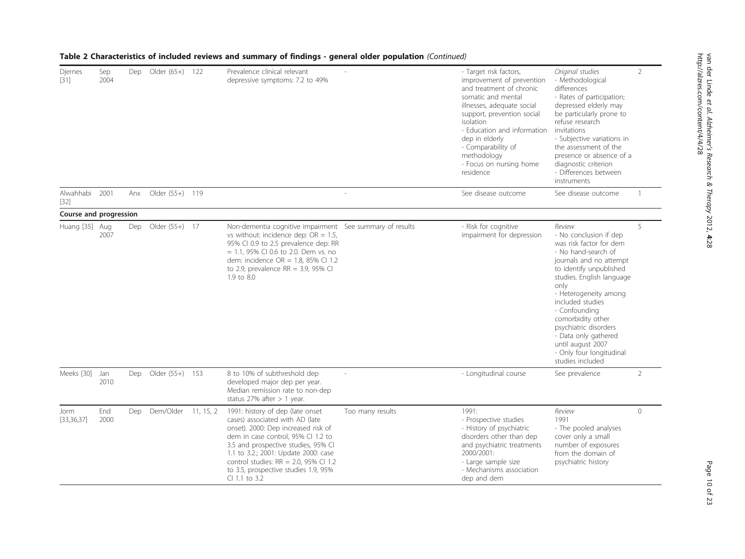| Diernes<br>$[31]$      | Sep<br>2004 | Dep | Older (65+) 122     | Prevalence clinical relevant<br>depressive symptoms: 7.2 to 49%                                                                                                                                                                                                                                                                      |                  | - Target risk factors,<br>improvement of prevention<br>and treatment of chronic<br>somatic and mental<br>illnesses, adequate social<br>support, prevention social<br>isolation<br>- Education and information<br>dep in elderly<br>- Comparability of<br>methodology<br>- Focus on nursing home<br>residence | Original studies<br>- Methodological<br>differences<br>- Rates of participation;<br>depressed elderly may<br>be particularly prone to<br>refuse research<br>invitations<br>- Subjective variations in<br>the assessment of the<br>presence or absence of a<br>diagnostic criterion<br>- Differences between<br><i>instruments</i>                                                      | $\overline{2}$ |
|------------------------|-------------|-----|---------------------|--------------------------------------------------------------------------------------------------------------------------------------------------------------------------------------------------------------------------------------------------------------------------------------------------------------------------------------|------------------|--------------------------------------------------------------------------------------------------------------------------------------------------------------------------------------------------------------------------------------------------------------------------------------------------------------|----------------------------------------------------------------------------------------------------------------------------------------------------------------------------------------------------------------------------------------------------------------------------------------------------------------------------------------------------------------------------------------|----------------|
| Alwahhabi<br>$[32]$    | 2001        | Anx | Older (55+) 119     |                                                                                                                                                                                                                                                                                                                                      |                  | See disease outcome                                                                                                                                                                                                                                                                                          | See disease outcome                                                                                                                                                                                                                                                                                                                                                                    |                |
| Course and progression |             |     |                     |                                                                                                                                                                                                                                                                                                                                      |                  |                                                                                                                                                                                                                                                                                                              |                                                                                                                                                                                                                                                                                                                                                                                        |                |
| Huang [35]             | Aug<br>2007 | Dep | Older (55+) 17      | Non-dementia cognitive impairment See summary of results<br>vs without: incidence dep: $OR = 1.5$ ,<br>95% CI 0.9 to 2.5 prevalence dep: RR<br>$= 1.1,95\%$ CI 0.6 to 2.0. Dem vs. no<br>dem: incidence $OR = 1.8$ , 85% Cl 1.2<br>to 2.9, prevalence $RR = 3.9$ , 95% CI<br>1.9 to 8.0                                              |                  | - Risk for cognitive<br>impairment for depression                                                                                                                                                                                                                                                            | Review<br>- No conclusion if dep<br>was risk factor for dem<br>- No hand-search of<br>journals and no attempt<br>to identify unpublished<br>studies. English language<br>only<br>- Heterogeneity among<br>included studies<br>- Confounding<br>comorbidity other<br>psychiatric disorders<br>- Data only gathered<br>until august 2007<br>- Only four longitudinal<br>studies included | 5              |
| Meeks [30]             | Jan<br>2010 | Dep | Older (55+) 153     | 8 to 10% of subthreshold dep<br>developed major dep per year.<br>Median remission rate to non-dep<br>status 27% after $> 1$ year.                                                                                                                                                                                                    |                  | - Longitudinal course                                                                                                                                                                                                                                                                                        | See prevalence                                                                                                                                                                                                                                                                                                                                                                         | $\overline{2}$ |
| Jorm<br>[33,36,37]     | End<br>2000 | Dep | Dem/Older 11, 15, 2 | 1991: history of dep (late onset<br>cases) associated with AD (late<br>onset). 2000: Dep increased risk of<br>dem in case control, 95% CI 1.2 to<br>3.5 and prospective studies, 95% CI<br>1.1 to 3.2.; 2001: Update 2000: case<br>control studies: $RR = 2.0$ , 95% CI 1.2<br>to 3.5, prospective studies 1.9, 95%<br>CI 1.1 to 3.2 | Too many results | 1991:<br>- Prospective studies<br>- History of psychiatric<br>disorders other than dep<br>and psychiatric treatments<br>2000/2001:<br>- Large sample size<br>- Mechanisms association<br>dep and dem                                                                                                         | Review<br>1991<br>- The pooled analyses<br>cover only a small<br>number of exposures<br>from the domain of<br>psychiatric history                                                                                                                                                                                                                                                      | $\circ$        |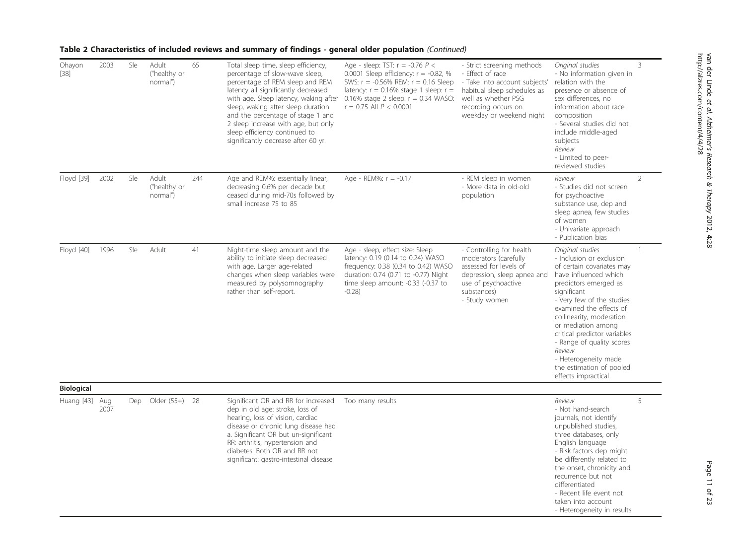| Table 2 Characteristics of included reviews and summary of findings - general older population (Continued) |  |  |  |  |
|------------------------------------------------------------------------------------------------------------|--|--|--|--|
|------------------------------------------------------------------------------------------------------------|--|--|--|--|

| Ohayon<br>$[38]$  | 2003        | Sle | Adult<br>("healthy or<br>normal") | 65  | Total sleep time, sleep efficiency,<br>percentage of slow-wave sleep,<br>percentage of REM sleep and REM<br>latency all significantly decreased<br>sleep, waking after sleep duration<br>and the percentage of stage 1 and<br>2 sleep increase with age, but only<br>sleep efficiency continued to<br>significantly decrease after 60 yr. | Age - sleep: TST: $r = -0.76$ $P <$<br>0.0001 Sleep efficiency: $r = -0.82$ , %<br>SWS: $r = -0.56\%$ REM: $r = 0.16$ Sleep<br>latency: $r = 0.16\%$ stage 1 sleep: $r =$<br>with age. Sleep latency, waking after 0.16% stage 2 sleep: $r = 0.34$ WASO:<br>$r = 0.75$ All $P < 0.0001$ | - Strict screening methods<br>- Effect of race<br>- Take into account subjects'<br>habitual sleep schedules as<br>well as whether PSG<br>recording occurs on<br>weekday or weekend night | Original studies<br>- No information given in<br>relation with the<br>presence or absence of<br>sex differences, no<br>information about race<br>composition<br>- Several studies did not<br>include middle-aged<br>subjects<br>Review<br>- Limited to peer-<br>reviewed studies                                                                                                                       | 3              |
|-------------------|-------------|-----|-----------------------------------|-----|-------------------------------------------------------------------------------------------------------------------------------------------------------------------------------------------------------------------------------------------------------------------------------------------------------------------------------------------|-----------------------------------------------------------------------------------------------------------------------------------------------------------------------------------------------------------------------------------------------------------------------------------------|------------------------------------------------------------------------------------------------------------------------------------------------------------------------------------------|--------------------------------------------------------------------------------------------------------------------------------------------------------------------------------------------------------------------------------------------------------------------------------------------------------------------------------------------------------------------------------------------------------|----------------|
| Floyd [39]        | 2002        | Sle | Adult<br>("healthy or<br>normal") | 244 | Age and REM%: essentially linear,<br>decreasing 0.6% per decade but<br>ceased during mid-70s followed by<br>small increase 75 to 85                                                                                                                                                                                                       | Age - REM%: $r = -0.17$                                                                                                                                                                                                                                                                 | - REM sleep in women<br>- More data in old-old<br>population                                                                                                                             | Review<br>- Studies did not screen<br>for psychoactive<br>substance use, dep and<br>sleep apnea, few studies<br>of women<br>- Univariate approach<br>- Publication bias                                                                                                                                                                                                                                | $\overline{2}$ |
| Floyd [40]        | 1996        | Sle | Adult                             | 41  | Night-time sleep amount and the<br>ability to initiate sleep decreased<br>with age. Larger age-related<br>changes when sleep variables were<br>measured by polysomnography<br>rather than self-report.                                                                                                                                    | Age - sleep, effect size: Sleep<br>latency: 0.19 (0.14 to 0.24) WASO<br>frequency: 0.38 (0.34 to 0.42) WASO<br>duration: 0.74 (0.71 to -0.77) Night<br>time sleep amount: -0.33 (-0.37 to<br>$-0.28$ )                                                                                  | - Controlling for health<br>moderators (carefully<br>assessed for levels of<br>depression, sleep apnea and<br>use of psychoactive<br>substances)<br>- Study women                        | Original studies<br>- Inclusion or exclusion<br>of certain covariates may<br>have influenced which<br>predictors emerged as<br>significant<br>- Very few of the studies<br>examined the effects of<br>collinearity, moderation<br>or mediation among<br>critical predictor variables<br>- Range of quality scores<br>Review<br>- Heterogeneity made<br>the estimation of pooled<br>effects impractical | $\mathbf{1}$   |
| <b>Biological</b> |             |     |                                   |     |                                                                                                                                                                                                                                                                                                                                           |                                                                                                                                                                                                                                                                                         |                                                                                                                                                                                          |                                                                                                                                                                                                                                                                                                                                                                                                        |                |
| Huang [43]        | Aug<br>2007 | Dep | Older $(55+)$                     | 28  | Significant OR and RR for increased<br>dep in old age: stroke, loss of<br>hearing, loss of vision, cardiac<br>disease or chronic lung disease had<br>a. Significant OR but un-significant<br>RR: arthritis, hypertension and<br>diabetes. Both OR and RR not<br>significant: gastro-intestinal disease                                    | Too many results                                                                                                                                                                                                                                                                        |                                                                                                                                                                                          | Review<br>- Not hand-search<br>journals, not identify<br>unpublished studies,<br>three databases, only<br>English language<br>- Risk factors dep might<br>be differently related to<br>the onset, chronicity and<br>recurrence but not<br>differentiated<br>- Recent life event not<br>taken into account<br>- Heterogeneity in results                                                                | 5              |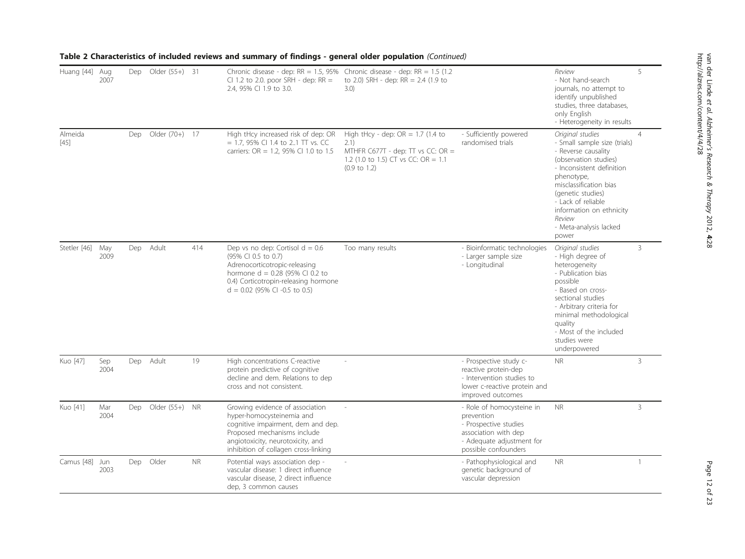| Huang [44] Aug    | 2007        | Dep | Older (55+) 31 |           | Chronic disease - dep: $RR = 1.5$ , 95% Chronic disease - dep: $RR = 1.5$ (1.2)<br>CI 1.2 to 2.0. poor SRH - dep: $RR =$<br>2.4, 95% Cl 1.9 to 3.0.                                                            | to 2.0) SRH - dep: $RR = 2.4$ (1.9 to<br>3.0                                                                                                         |                                                                                                                                               | Review<br>- Not hand-search<br>journals, no attempt to<br>identify unpublished<br>studies, three databases,<br>only English<br>- Heterogeneity in results                                                                                                                                 | 5              |
|-------------------|-------------|-----|----------------|-----------|----------------------------------------------------------------------------------------------------------------------------------------------------------------------------------------------------------------|------------------------------------------------------------------------------------------------------------------------------------------------------|-----------------------------------------------------------------------------------------------------------------------------------------------|-------------------------------------------------------------------------------------------------------------------------------------------------------------------------------------------------------------------------------------------------------------------------------------------|----------------|
| Almeida<br>$[45]$ |             | Dep | Older (70+) 17 |           | High tHcy increased risk of dep: OR<br>$= 1.7,95\%$ CI 1.4 to 21 TT vs. CC<br>carriers: $OR = 1.2$ , 95% Cl 1.0 to 1.5                                                                                         | High tHcy - dep: $OR = 1.7$ (1.4 to<br>2.1)<br>MTHFR C677T - dep: TT vs CC: OR $=$<br>1.2 (1.0 to 1.5) CT vs CC: OR = 1.1<br>$(0.9 \text{ to } 1.2)$ | - Sufficiently powered<br>randomised trials                                                                                                   | Original studies<br>- Small sample size (trials)<br>- Reverse causality<br>(observation studies)<br>- Inconsistent definition<br>phenotype,<br>misclassification bias<br>(genetic studies)<br>- Lack of reliable<br>information on ethnicity<br>Review<br>- Meta-analysis lacked<br>power | $\overline{4}$ |
| Stetler [46]      | May<br>2009 | Dep | Adult          | 414       | Dep vs no dep: Cortisol $d = 0.6$<br>(95% CI 0.5 to 0.7)<br>Adrenocorticotropic-releasing<br>hormone $d = 0.28$ (95% CI 0.2 to<br>0.4) Corticotropin-releasing hormone<br>$d = 0.02$ (95% CI -0.5 to 0.5)      | Too many results                                                                                                                                     | - Bioinformatic technologies<br>- Larger sample size<br>- Longitudinal                                                                        | Original studies<br>- High degree of<br>heterogeneity<br>- Publication bias<br>possible<br>- Based on cross-<br>sectional studies<br>- Arbitrary criteria for<br>minimal methodological<br>quality<br>- Most of the included<br>studies were<br>underpowered                              | $\overline{3}$ |
| Kuo [47]          | Sep<br>2004 | Dep | Adult          | 19        | High concentrations C-reactive<br>protein predictive of cognitive<br>decline and dem. Relations to dep<br>cross and not consistent.                                                                            |                                                                                                                                                      | - Prospective study c-<br>reactive protein-dep<br>- Intervention studies to<br>lower c-reactive protein and<br>improved outcomes              | <b>NR</b>                                                                                                                                                                                                                                                                                 | $\overline{3}$ |
| Kuo [41]          | Mar<br>2004 | Dep | Older (55+) NR |           | Growing evidence of association<br>hyper-homocysteinemia and<br>cognitive impairment, dem and dep.<br>Proposed mechanisms include<br>angiotoxicity, neurotoxicity, and<br>inhibition of collagen cross-linking |                                                                                                                                                      | - Role of homocysteine in<br>prevention<br>- Prospective studies<br>association with dep<br>- Adequate adjustment for<br>possible confounders | <b>NR</b>                                                                                                                                                                                                                                                                                 | $\overline{3}$ |
| Camus [48] Jun    | 2003        | Dep | Older          | <b>NR</b> | Potential ways association dep -<br>vascular disease: 1 direct influence<br>vascular disease. 2 direct influence<br>dep, 3 common causes                                                                       |                                                                                                                                                      | - Pathophysiological and<br>genetic background of<br>vascular depression                                                                      | <b>NR</b>                                                                                                                                                                                                                                                                                 | $\overline{1}$ |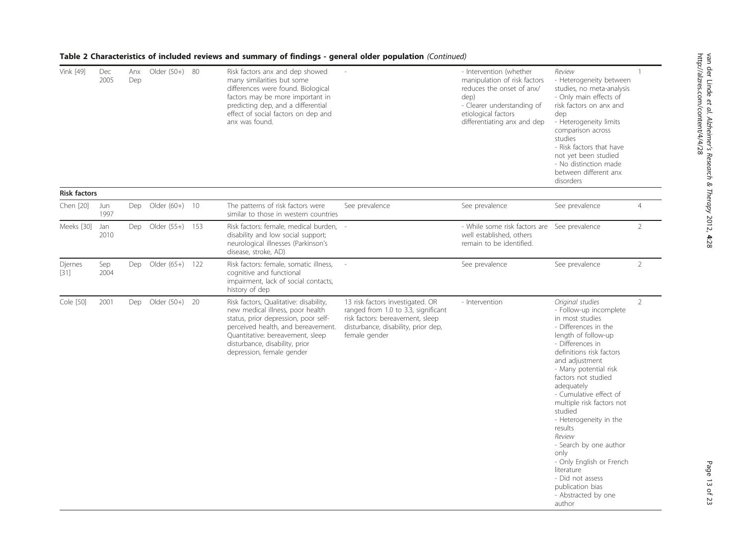| Vink [49]           | Dec<br>2005 | Anx<br>Dep | Older (50+) 80     |     | Risk factors anx and dep showed<br>many similarities but some<br>differences were found. Biological<br>factors may be more important in<br>predicting dep, and a differential<br>effect of social factors on dep and<br>anx was found.                      |                                                                                                                                                                     | - Intervention (whether<br>manipulation of risk factors<br>reduces the onset of anx/<br>dep)<br>- Clearer understanding of<br>etiological factors<br>differentiating anx and dep | Review<br>- Heterogeneity between<br>studies, no meta-analysis<br>- Only main effects of<br>risk factors on anx and<br>dep<br>- Heterogeneity limits<br>comparison across<br>studies<br>- Risk factors that have<br>not yet been studied<br>- No distinction made<br>between different anx<br>disorders                                                                                                                                                                                                            | $\overline{1}$ |
|---------------------|-------------|------------|--------------------|-----|-------------------------------------------------------------------------------------------------------------------------------------------------------------------------------------------------------------------------------------------------------------|---------------------------------------------------------------------------------------------------------------------------------------------------------------------|----------------------------------------------------------------------------------------------------------------------------------------------------------------------------------|--------------------------------------------------------------------------------------------------------------------------------------------------------------------------------------------------------------------------------------------------------------------------------------------------------------------------------------------------------------------------------------------------------------------------------------------------------------------------------------------------------------------|----------------|
| <b>Risk factors</b> |             |            |                    |     |                                                                                                                                                                                                                                                             |                                                                                                                                                                     |                                                                                                                                                                                  |                                                                                                                                                                                                                                                                                                                                                                                                                                                                                                                    |                |
| Chen [20]           | Jun<br>1997 | Dep        | Older (60+) 10     |     | The patterns of risk factors were<br>similar to those in western countries                                                                                                                                                                                  | See prevalence                                                                                                                                                      | See prevalence                                                                                                                                                                   | See prevalence                                                                                                                                                                                                                                                                                                                                                                                                                                                                                                     | $\overline{4}$ |
| Meeks [30]          | Jan<br>2010 | Dep        | Older (55+)        | 153 | Risk factors: female, medical burden, -<br>disability and low social support;<br>neurological illnesses (Parkinson's<br>disease, stroke, AD)                                                                                                                |                                                                                                                                                                     | - While some risk factors are See prevalence<br>well established, others<br>remain to be identified.                                                                             |                                                                                                                                                                                                                                                                                                                                                                                                                                                                                                                    | $\overline{2}$ |
| Djernes<br>$[31]$   | Sep<br>2004 | Dep        | Older (65+) 122    |     | Risk factors: female, somatic illness,<br>cognitive and functional<br>impairment, lack of social contacts,<br>history of dep                                                                                                                                |                                                                                                                                                                     | See prevalence                                                                                                                                                                   | See prevalence                                                                                                                                                                                                                                                                                                                                                                                                                                                                                                     | $\overline{2}$ |
| Cole [50]           | 2001        |            | Dep Older (50+) 20 |     | Risk factors, Qualitative: disability,<br>new medical illness, poor health<br>status, prior depression, poor self-<br>perceived health, and bereavement.<br>Quantitative: bereavement, sleep<br>disturbance, disability, prior<br>depression, female gender | 13 risk factors investigated. OR<br>ranged from 1.0 to 3.3, significant<br>risk factors: bereavement, sleep<br>disturbance, disability, prior dep,<br>female gender | - Intervention                                                                                                                                                                   | Original studies<br>- Follow-up incomplete<br>in most studies<br>- Differences in the<br>length of follow-up<br>- Differences in<br>definitions risk factors<br>and adjustment<br>- Many potential risk<br>factors not studied<br>adequately<br>- Cumulative effect of<br>multiple risk factors not<br>studied<br>- Heterogeneity in the<br>results<br>Review<br>- Search by one author<br>only<br>- Only English or French<br>literature<br>- Did not assess<br>publication bias<br>- Abstracted by one<br>author | $\overline{2}$ |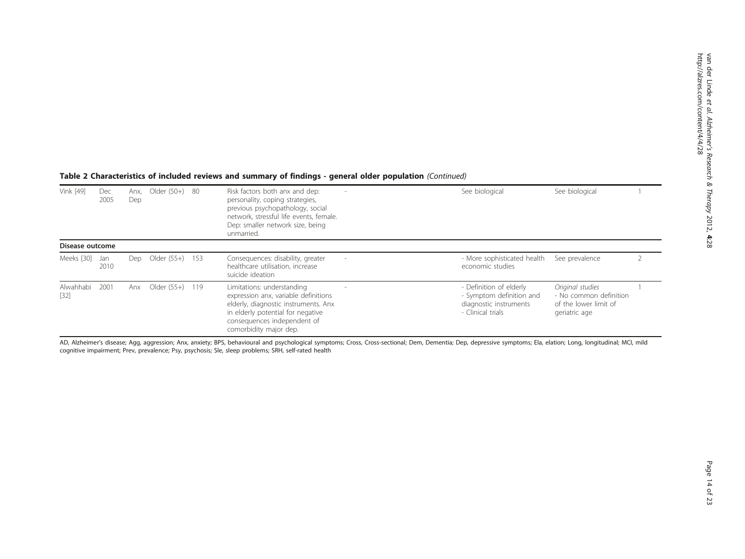| Vink [49]           | Dec<br>2005 | Anx,<br>Dep | Older (50+)   | - 80  | Risk factors both anx and dep:<br>$\overline{\phantom{a}}$<br>personality, coping strategies,<br>previous psychopathology, social<br>network, stressful life events, female.<br>Dep: smaller network size, being<br>unmarried. | See biological                                                                                     | See biological                                                                       |  |
|---------------------|-------------|-------------|---------------|-------|--------------------------------------------------------------------------------------------------------------------------------------------------------------------------------------------------------------------------------|----------------------------------------------------------------------------------------------------|--------------------------------------------------------------------------------------|--|
| Disease outcome     |             |             |               |       |                                                                                                                                                                                                                                |                                                                                                    |                                                                                      |  |
| Meeks [30]          | Jan<br>2010 | Dep         | Older (55+)   | - 153 | Consequences: disability, greater<br>$\overline{\phantom{a}}$<br>healthcare utilisation, increase<br>suicide ideation                                                                                                          | - More sophisticated health<br>economic studies                                                    | See prevalence                                                                       |  |
| Alwahhabi<br>$[32]$ | 2001        | Anx         | Older $(55+)$ | 119   | Limitations: understanding<br>expression anx, variable definitions<br>elderly, diagnostic instruments. Anx<br>in elderly potential for negative<br>consequences independent of<br>comorbidity major dep.                       | - Definition of elderly<br>- Symptom definition and<br>diagnostic instruments<br>- Clinical trials | Original studies<br>- No common definition<br>of the lower limit of<br>geriatric age |  |

AD, Alzheimer's disease; Agg, aggression; Anx, anxiety; BPS, behavioural and psychological symptoms; Cross, Cross-sectional; Dem, Dementia; Dep, depressive symptoms; Ela, elation; Long, longitudinal; MCI, mild cognitive impairment; Prev, prevalence; Psy, psychosis; Sle, sleep problems; SRH, self-rated health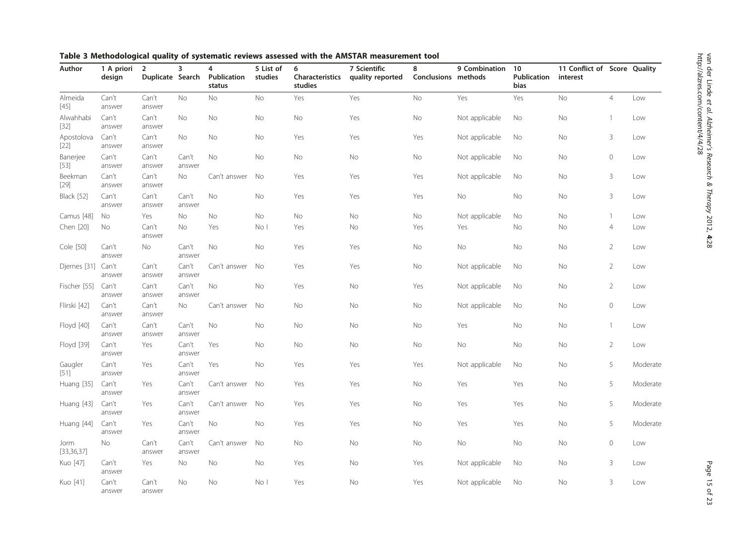| Author               | 1 A priori<br>design | $\overline{2}$<br>Duplicate Search | 3               | 4<br>Publication<br>status | 5 List of<br>studies | 6<br><b>Characteristics</b><br>studies | 7 Scientific<br>quality reported | 8<br>Conclusions methods | 9 Combination  | 10<br>Publication<br>bias | 11 Conflict of Score Quality<br>interest |                |          |
|----------------------|----------------------|------------------------------------|-----------------|----------------------------|----------------------|----------------------------------------|----------------------------------|--------------------------|----------------|---------------------------|------------------------------------------|----------------|----------|
| Almeida<br>$[45]$    | Can't<br>answer      | Can't<br>answer                    | No              | No                         | No                   | Yes                                    | Yes                              | No                       | Yes            | Yes                       | No                                       | $\overline{4}$ | Low      |
| Alwahhabi<br>$[32]$  | Can't<br>answer      | Can't<br>answer                    | No              | No                         | No                   | No                                     | Yes                              | No                       | Not applicable | No                        | No                                       | 1              | Low      |
| Apostolova<br>$[22]$ | Can't<br>answer      | Can't<br>answer                    | No              | No                         | No                   | Yes                                    | Yes                              | Yes                      | Not applicable | No                        | No                                       | 3              | Low      |
| Banerjee<br>$[53]$   | Can't<br>answer      | Can't<br>answer                    | Can't<br>answer | No                         | No                   | No                                     | No                               | No                       | Not applicable | No                        | No                                       | $\mathsf{O}$   | Low      |
| Beekman<br>$[29]$    | Can't<br>answer      | Can't<br>answer                    | No              | Can't answer               | No                   | Yes                                    | Yes                              | Yes                      | Not applicable | No                        | No                                       | 3              | Low      |
| Black [52]           | Can't<br>answer      | Can't<br>answer                    | Can't<br>answer | No                         | No                   | Yes                                    | Yes                              | Yes                      | <b>No</b>      | No                        | No                                       | 3              | Low      |
| Camus [48]           | No                   | Yes                                | No              | No                         | No                   | $\rm No$                               | No                               | No                       | Not applicable | No                        | No                                       | $\mathbf{1}$   | Low      |
| Chen [20]            | No                   | Can't<br>answer                    | No              | Yes                        | No I                 | Yes                                    | No                               | Yes                      | Yes            | No                        | No                                       | $\overline{4}$ | Low      |
| Cole [50]            | Can't<br>answer      | No                                 | Can't<br>answer | No                         | No                   | Yes                                    | Yes                              | No                       | No             | No                        | No                                       | $\overline{2}$ | Low      |
| Djernes [31] Can't   | answer               | Can't<br>answer                    | Can't<br>answer | Can't answer               | No.                  | Yes                                    | Yes                              | No                       | Not applicable | No                        | No                                       | $\overline{2}$ | Low      |
| Fischer [55]         | Can't<br>answer      | Can't<br>answer                    | Can't<br>answer | No                         | No                   | Yes                                    | No                               | Yes                      | Not applicable | No                        | No                                       | $\overline{2}$ | Low      |
| Flirski [42]         | Can't<br>answer      | Can't<br>answer                    | No              | Can't answer               | No                   | No                                     | No                               | No                       | Not applicable | No                        | No                                       | 0              | Low      |
| Floyd [40]           | Can't<br>answer      | Can't<br>answer                    | Can't<br>answer | No                         | No                   | No                                     | No                               | No                       | Yes            | No                        | No                                       | $\mathbf{1}$   | Low      |
| Floyd [39]           | Can't<br>answer      | Yes                                | Can't<br>answer | Yes                        | No                   | No                                     | No                               | No                       | No             | No                        | No                                       | $\overline{2}$ | Low      |
| Gaugler<br>$[51]$    | Can't<br>answer      | Yes                                | Can't<br>answer | Yes                        | No                   | Yes                                    | Yes                              | Yes                      | Not applicable | <b>No</b>                 | No                                       | 5              | Moderate |
| Huang [35]           | Can't<br>answer      | Yes                                | Can't<br>answer | Can't answer               | No                   | Yes                                    | Yes                              | No                       | Yes            | Yes                       | No                                       | 5              | Moderate |
| Huang [43]           | Can't<br>answer      | Yes                                | Can't<br>answer | Can't answer               | No                   | Yes                                    | Yes                              | No                       | Yes            | Yes                       | No                                       | 5              | Moderate |
| Huang [44]           | Can't<br>answer      | Yes                                | Can't<br>answer | No                         | No                   | Yes                                    | Yes                              | No                       | Yes            | Yes                       | No                                       | 5              | Moderate |
| Jorm<br>[33, 36, 37] | No                   | Can't<br>answer                    | Can't<br>answer | Can't answer               | No                   | No                                     | No                               | No                       | No             | No                        | No                                       | $\circ$        | Low      |
| Kuo [47]             | Can't<br>answer      | Yes                                | No              | No                         | No                   | Yes                                    | No                               | Yes                      | Not applicable | No                        | No                                       | 3              | Low      |
| Kuo [41]             | Can't<br>answer      | Can't<br>answer                    | No              | <b>No</b>                  | No I                 | Yes                                    | No                               | Yes                      | Not applicable | <b>No</b>                 | No                                       | 3              | Low      |

<span id="page-14-0"></span>Table 3 Methodological quality of systematic reviews assessed with the AMSTAR measurement tool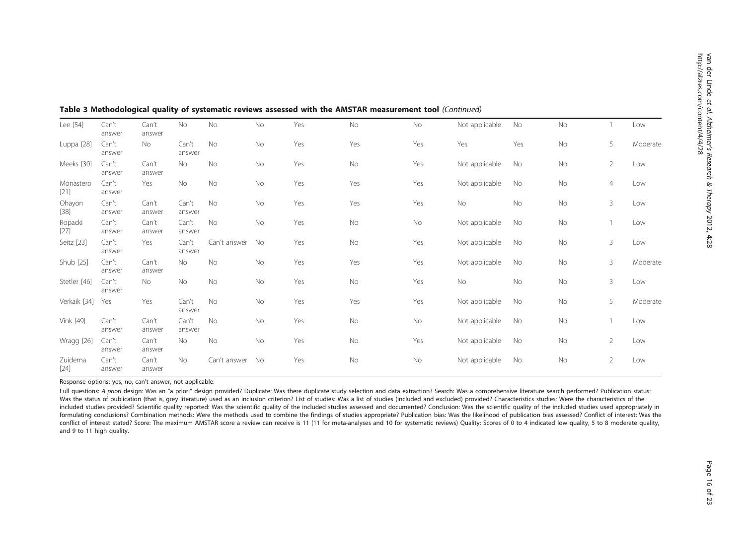| Lee [54]            | Can't<br>answer | Can't<br>answer | No              | No           | No | Yes | No  | No  | Not applicable | No  | No |                | Low      |
|---------------------|-----------------|-----------------|-----------------|--------------|----|-----|-----|-----|----------------|-----|----|----------------|----------|
| Luppa [28]          | Can't<br>answer | No.             | Can't<br>answer | No           | No | Yes | Yes | Yes | Yes            | Yes | No | 5              | Moderate |
| Meeks [30]          | Can't<br>answer | Can't<br>answer | No              | No           | No | Yes | No  | Yes | Not applicable | No  | No | $\overline{2}$ | Low      |
| Monastero<br>$[21]$ | Can't<br>answer | Yes             | No              | No           | No | Yes | Yes | Yes | Not applicable | No  | No | $\overline{4}$ | Low      |
| Ohayon<br>$[38]$    | Can't<br>answer | Can't<br>answer | Can't<br>answer | No           | No | Yes | Yes | Yes | No             | No  | No | 3              | Low      |
| Ropacki<br>[27]     | Can't<br>answer | Can't<br>answer | Can't<br>answer | No           | No | Yes | No  | No  | Not applicable | No  | No |                | Low      |
| Seitz [23]          | Can't<br>answer | Yes             | Can't<br>answer | Can't answer | No | Yes | No  | Yes | Not applicable | No  | No | 3              | Low      |
| Shub [25]           | Can't<br>answer | Can't<br>answer | No              | <b>No</b>    | No | Yes | Yes | Yes | Not applicable | No  | No | 3              | Moderate |
| Stetler [46]        | Can't<br>answer | No              | No              | <b>No</b>    | No | Yes | No  | Yes | No             | No  | No | 3              | Low      |
| Verkaik [34]        | Yes             | Yes             | Can't<br>answer | No           | No | Yes | Yes | Yes | Not applicable | No  | No | 5              | Moderate |
| Vink [49]           | Can't<br>answer | Can't<br>answer | Can't<br>answer | <b>No</b>    | No | Yes | No  | No  | Not applicable | No  | No |                | Low      |
| Wragg [26]          | Can't<br>answer | Can't<br>answer | <b>No</b>       | No           | No | Yes | No  | Yes | Not applicable | No  | No | $\overline{2}$ | Low      |
| Zuidema<br>$[24]$   | Can't<br>answer | Can't<br>answer | No              | Can't answer | No | Yes | No  | No  | Not applicable | No  | No | $\overline{2}$ | Low      |

Table 3 Methodological quality of systematic reviews assessed with the AMSTAR measurement tool (Continued)

Response options: yes, no, can't answer, not applicable.

Full questions: A priori design: Was an "a priori" design provided? Duplicate: Was there duplicate study selection and data extraction? Search: Was a comprehensive literature search performed? Publication status: Was the status of publication (that is, grey literature) used as an inclusion criterion? List of studies: Was a list of studies (included and excluded) provided? Characteristics studies: Were the characteristics of the included studies provided? Scientific quality reported: Was the scientific quality of the included studies assessed and documented? Conclusion: Was the scientific quality of the included studies used appropriately in formulating conclusions? Combination methods: Were the methods used to combine the findings of studies appropriate? Publication bias: Was the likelihood of publication bias assessed? Conflict of interest: Was the conflict of interest stated? Score: The maximum AMSTAR score a review can receive is 11 (11 for meta-analyses and 10 for systematic reviews) Quality: Scores of 0 to 4 indicated low quality, 5 to 8 moderate quality, and 9 to 11 high quality.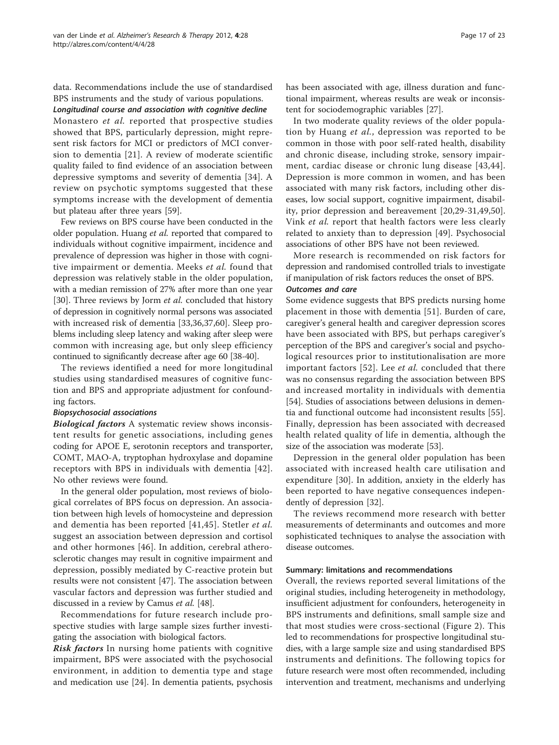data. Recommendations include the use of standardised BPS instruments and the study of various populations.

Longitudinal course and association with cognitive decline Monastero et al. reported that prospective studies showed that BPS, particularly depression, might represent risk factors for MCI or predictors of MCI conversion to dementia [[21](#page-21-0)]. A review of moderate scientific quality failed to find evidence of an association between depressive symptoms and severity of dementia [[34](#page-21-0)]. A review on psychotic symptoms suggested that these symptoms increase with the development of dementia but plateau after three years [[59\]](#page-22-0).

Few reviews on BPS course have been conducted in the older population. Huang *et al.* reported that compared to individuals without cognitive impairment, incidence and prevalence of depression was higher in those with cognitive impairment or dementia. Meeks et al. found that depression was relatively stable in the older population, with a median remission of 27% after more than one year [[30\]](#page-21-0). Three reviews by Jorm et al. concluded that history of depression in cognitively normal persons was associated with increased risk of dementia [\[33,36,37](#page-21-0),[60\]](#page-22-0). Sleep problems including sleep latency and waking after sleep were common with increasing age, but only sleep efficiency continued to significantly decrease after age 60 [\[38-40\]](#page-21-0).

The reviews identified a need for more longitudinal studies using standardised measures of cognitive function and BPS and appropriate adjustment for confounding factors.

#### Biopsychosocial associations

Biological factors A systematic review shows inconsistent results for genetic associations, including genes coding for APOE E, serotonin receptors and transporter, COMT, MAO-A, tryptophan hydroxylase and dopamine receptors with BPS in individuals with dementia [[42\]](#page-21-0). No other reviews were found.

In the general older population, most reviews of biological correlates of BPS focus on depression. An association between high levels of homocysteine and depression and dementia has been reported [[41](#page-21-0)[,45\]](#page-22-0). Stetler et al. suggest an association between depression and cortisol and other hormones [[46](#page-22-0)]. In addition, cerebral atherosclerotic changes may result in cognitive impairment and depression, possibly mediated by C-reactive protein but results were not consistent [\[47\]](#page-22-0). The association between vascular factors and depression was further studied and discussed in a review by Camus et al. [\[48](#page-22-0)].

Recommendations for future research include prospective studies with large sample sizes further investigating the association with biological factors.

Risk factors In nursing home patients with cognitive impairment, BPS were associated with the psychosocial environment, in addition to dementia type and stage and medication use [\[24](#page-21-0)]. In dementia patients, psychosis has been associated with age, illness duration and functional impairment, whereas results are weak or inconsistent for sociodemographic variables [\[27](#page-21-0)].

In two moderate quality reviews of the older population by Huang et al., depression was reported to be common in those with poor self-rated health, disability and chronic disease, including stroke, sensory impairment, cardiac disease or chronic lung disease [[43](#page-21-0),[44\]](#page-22-0). Depression is more common in women, and has been associated with many risk factors, including other diseases, low social support, cognitive impairment, disability, prior depression and bereavement [\[20](#page-21-0),[29-31](#page-21-0),[49,50](#page-22-0)]. Vink et al. report that health factors were less clearly related to anxiety than to depression [[49](#page-22-0)]. Psychosocial associations of other BPS have not been reviewed.

More research is recommended on risk factors for depression and randomised controlled trials to investigate if manipulation of risk factors reduces the onset of BPS.

#### Outcomes and care

Some evidence suggests that BPS predicts nursing home placement in those with dementia [[51](#page-22-0)]. Burden of care, caregiver's general health and caregiver depression scores have been associated with BPS, but perhaps caregiver's perception of the BPS and caregiver's social and psychological resources prior to institutionalisation are more important factors [[52](#page-22-0)]. Lee et al. concluded that there was no consensus regarding the association between BPS and increased mortality in individuals with dementia [[54\]](#page-22-0). Studies of associations between delusions in dementia and functional outcome had inconsistent results [\[55](#page-22-0)]. Finally, depression has been associated with decreased health related quality of life in dementia, although the size of the association was moderate [[53](#page-22-0)].

Depression in the general older population has been associated with increased health care utilisation and expenditure [[30](#page-21-0)]. In addition, anxiety in the elderly has been reported to have negative consequences independently of depression [[32\]](#page-21-0).

The reviews recommend more research with better measurements of determinants and outcomes and more sophisticated techniques to analyse the association with disease outcomes.

#### Summary: limitations and recommendations

Overall, the reviews reported several limitations of the original studies, including heterogeneity in methodology, insufficient adjustment for confounders, heterogeneity in BPS instruments and definitions, small sample size and that most studies were cross-sectional (Figure [2\)](#page-17-0). This led to recommendations for prospective longitudinal studies, with a large sample size and using standardised BPS instruments and definitions. The following topics for future research were most often recommended, including intervention and treatment, mechanisms and underlying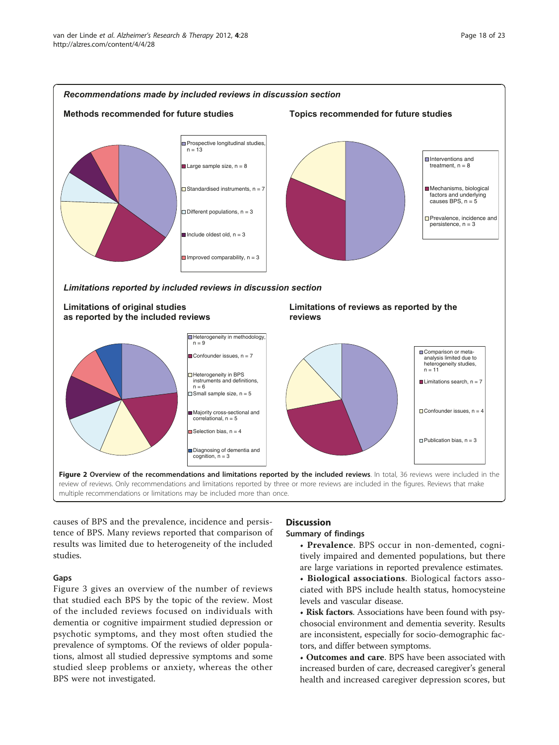<span id="page-17-0"></span>

causes of BPS and the prevalence, incidence and persistence of BPS. Many reviews reported that comparison of results was limited due to heterogeneity of the included studies.

#### Gaps

Figure [3](#page-18-0) gives an overview of the number of reviews that studied each BPS by the topic of the review. Most of the included reviews focused on individuals with dementia or cognitive impairment studied depression or psychotic symptoms, and they most often studied the prevalence of symptoms. Of the reviews of older populations, almost all studied depressive symptoms and some studied sleep problems or anxiety, whereas the other BPS were not investigated.

# **Discussion**

#### Summary of findings

- Prevalence. BPS occur in non-demented, cognitively impaired and demented populations, but there are large variations in reported prevalence estimates.
- Biological associations. Biological factors associated with BPS include health status, homocysteine levels and vascular disease.
- Risk factors. Associations have been found with psychosocial environment and dementia severity. Results are inconsistent, especially for socio-demographic factors, and differ between symptoms.

• Outcomes and care. BPS have been associated with increased burden of care, decreased caregiver's general health and increased caregiver depression scores, but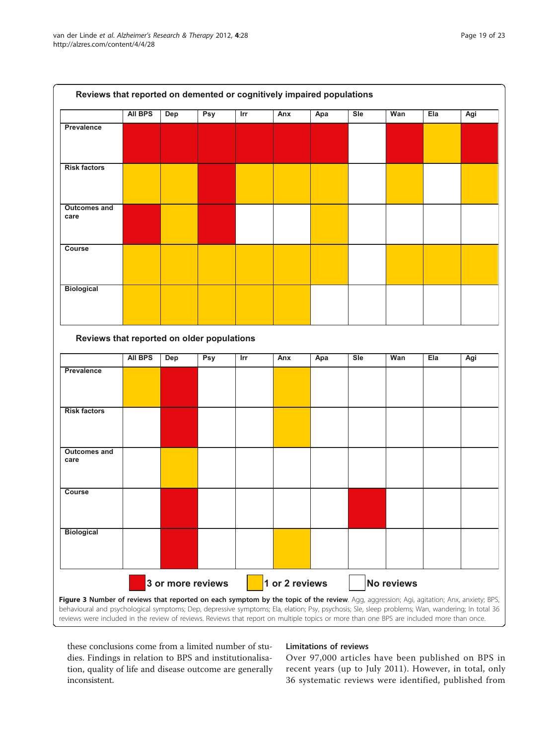<span id="page-18-0"></span>

these conclusions come from a limited number of studies. Findings in relation to BPS and institutionalisation, quality of life and disease outcome are generally inconsistent.

#### Limitations of reviews

Over 97,000 articles have been published on BPS in recent years (up to July 2011). However, in total, only 36 systematic reviews were identified, published from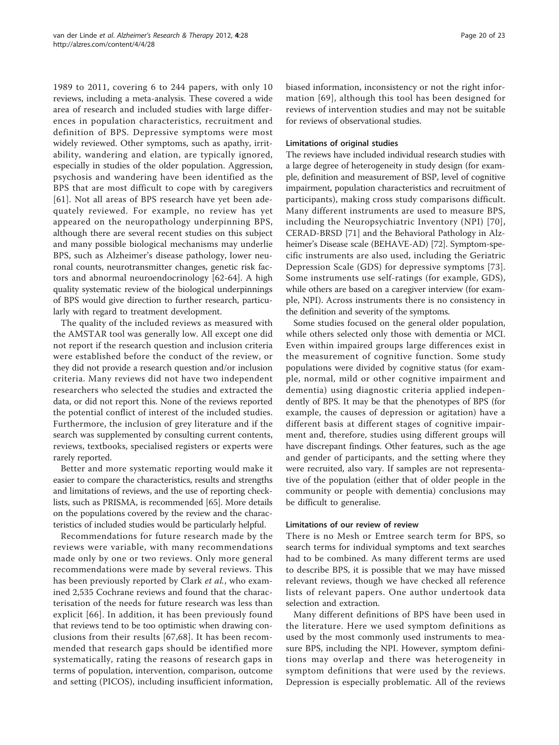1989 to 2011, covering 6 to 244 papers, with only 10 reviews, including a meta-analysis. These covered a wide area of research and included studies with large differences in population characteristics, recruitment and definition of BPS. Depressive symptoms were most widely reviewed. Other symptoms, such as apathy, irritability, wandering and elation, are typically ignored, especially in studies of the older population. Aggression, psychosis and wandering have been identified as the BPS that are most difficult to cope with by caregivers [[61](#page-22-0)]. Not all areas of BPS research have yet been adequately reviewed. For example, no review has yet appeared on the neuropathology underpinning BPS, although there are several recent studies on this subject and many possible biological mechanisms may underlie BPS, such as Alzheimer's disease pathology, lower neuronal counts, neurotransmitter changes, genetic risk factors and abnormal neuroendocrinology [\[62](#page-22-0)-[64\]](#page-22-0). A high quality systematic review of the biological underpinnings of BPS would give direction to further research, particularly with regard to treatment development.

The quality of the included reviews as measured with the AMSTAR tool was generally low. All except one did not report if the research question and inclusion criteria were established before the conduct of the review, or they did not provide a research question and/or inclusion criteria. Many reviews did not have two independent researchers who selected the studies and extracted the data, or did not report this. None of the reviews reported the potential conflict of interest of the included studies. Furthermore, the inclusion of grey literature and if the search was supplemented by consulting current contents, reviews, textbooks, specialised registers or experts were rarely reported.

Better and more systematic reporting would make it easier to compare the characteristics, results and strengths and limitations of reviews, and the use of reporting checklists, such as PRISMA, is recommended [\[65](#page-22-0)]. More details on the populations covered by the review and the characteristics of included studies would be particularly helpful.

Recommendations for future research made by the reviews were variable, with many recommendations made only by one or two reviews. Only more general recommendations were made by several reviews. This has been previously reported by Clark et al., who examined 2,535 Cochrane reviews and found that the characterisation of the needs for future research was less than explicit [[66](#page-22-0)]. In addition, it has been previously found that reviews tend to be too optimistic when drawing conclusions from their results [[67,68](#page-22-0)]. It has been recommended that research gaps should be identified more systematically, rating the reasons of research gaps in terms of population, intervention, comparison, outcome and setting (PICOS), including insufficient information, biased information, inconsistency or not the right information [[69\]](#page-22-0), although this tool has been designed for reviews of intervention studies and may not be suitable for reviews of observational studies.

#### Limitations of original studies

The reviews have included individual research studies with a large degree of heterogeneity in study design (for example, definition and measurement of BSP, level of cognitive impairment, population characteristics and recruitment of participants), making cross study comparisons difficult. Many different instruments are used to measure BPS, including the Neuropsychiatric Inventory (NPI) [\[70\]](#page-22-0), CERAD-BRSD [[71\]](#page-22-0) and the Behavioral Pathology in Alzheimer's Disease scale (BEHAVE-AD) [\[72\]](#page-22-0). Symptom-specific instruments are also used, including the Geriatric Depression Scale (GDS) for depressive symptoms [[73](#page-22-0)]. Some instruments use self-ratings (for example, GDS), while others are based on a caregiver interview (for example, NPI). Across instruments there is no consistency in the definition and severity of the symptoms.

Some studies focused on the general older population, while others selected only those with dementia or MCI. Even within impaired groups large differences exist in the measurement of cognitive function. Some study populations were divided by cognitive status (for example, normal, mild or other cognitive impairment and dementia) using diagnostic criteria applied independently of BPS. It may be that the phenotypes of BPS (for example, the causes of depression or agitation) have a different basis at different stages of cognitive impairment and, therefore, studies using different groups will have discrepant findings. Other features, such as the age and gender of participants, and the setting where they were recruited, also vary. If samples are not representative of the population (either that of older people in the community or people with dementia) conclusions may be difficult to generalise.

#### Limitations of our review of review

There is no Mesh or Emtree search term for BPS, so search terms for individual symptoms and text searches had to be combined. As many different terms are used to describe BPS, it is possible that we may have missed relevant reviews, though we have checked all reference lists of relevant papers. One author undertook data selection and extraction.

Many different definitions of BPS have been used in the literature. Here we used symptom definitions as used by the most commonly used instruments to measure BPS, including the NPI. However, symptom definitions may overlap and there was heterogeneity in symptom definitions that were used by the reviews. Depression is especially problematic. All of the reviews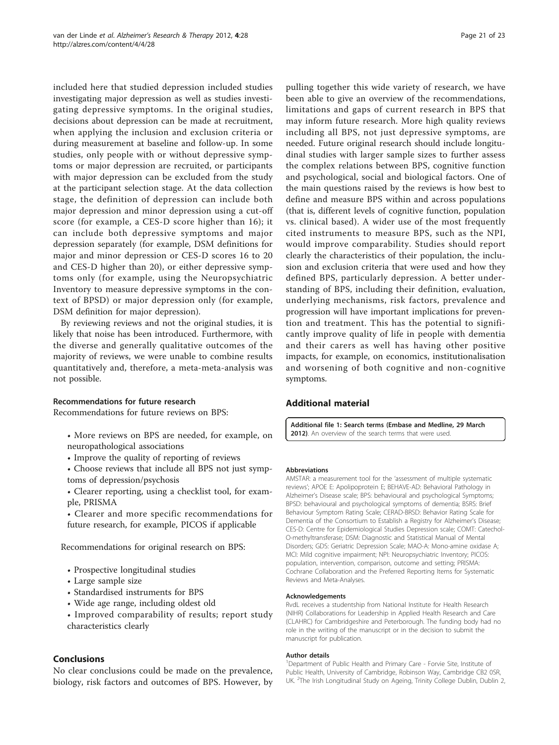<span id="page-20-0"></span>included here that studied depression included studies investigating major depression as well as studies investigating depressive symptoms. In the original studies, decisions about depression can be made at recruitment, when applying the inclusion and exclusion criteria or during measurement at baseline and follow-up. In some studies, only people with or without depressive symptoms or major depression are recruited, or participants with major depression can be excluded from the study at the participant selection stage. At the data collection stage, the definition of depression can include both major depression and minor depression using a cut-off score (for example, a CES-D score higher than 16); it can include both depressive symptoms and major depression separately (for example, DSM definitions for major and minor depression or CES-D scores 16 to 20 and CES-D higher than 20), or either depressive symptoms only (for example, using the Neuropsychiatric Inventory to measure depressive symptoms in the context of BPSD) or major depression only (for example, DSM definition for major depression).

By reviewing reviews and not the original studies, it is likely that noise has been introduced. Furthermore, with the diverse and generally qualitative outcomes of the majority of reviews, we were unable to combine results quantitatively and, therefore, a meta-meta-analysis was not possible.

#### Recommendations for future research

Recommendations for future reviews on BPS:

- More reviews on BPS are needed, for example, on neuropathological associations
- Improve the quality of reporting of reviews
- Choose reviews that include all BPS not just symptoms of depression/psychosis
- Clearer reporting, using a checklist tool, for example, PRISMA

• Clearer and more specific recommendations for future research, for example, PICOS if applicable

Recommendations for original research on BPS:

- Prospective longitudinal studies
- Large sample size
- Standardised instruments for BPS
- Wide age range, including oldest old
- Improved comparability of results; report study characteristics clearly

#### Conclusions

No clear conclusions could be made on the prevalence, biology, risk factors and outcomes of BPS. However, by

pulling together this wide variety of research, we have been able to give an overview of the recommendations, limitations and gaps of current research in BPS that may inform future research. More high quality reviews including all BPS, not just depressive symptoms, are needed. Future original research should include longitudinal studies with larger sample sizes to further assess the complex relations between BPS, cognitive function and psychological, social and biological factors. One of the main questions raised by the reviews is how best to define and measure BPS within and across populations (that is, different levels of cognitive function, population vs. clinical based). A wider use of the most frequently cited instruments to measure BPS, such as the NPI, would improve comparability. Studies should report clearly the characteristics of their population, the inclusion and exclusion criteria that were used and how they defined BPS, particularly depression. A better understanding of BPS, including their definition, evaluation, underlying mechanisms, risk factors, prevalence and progression will have important implications for prevention and treatment. This has the potential to significantly improve quality of life in people with dementia and their carers as well has having other positive impacts, for example, on economics, institutionalisation and worsening of both cognitive and non-cognitive symptoms.

# Additional material

[Additional file 1: S](http://www.biomedcentral.com/content/supplementary/alzrt131-S1.DOCX)earch terms (Embase and Medline, 29 March 2012). An overview of the search terms that were used.

#### Abbreviations

AMSTAR: a measurement tool for the 'assessment of multiple systematic reviews'; APOE E: Apolipoprotein E; BEHAVE-AD: Behavioral Pathology in Alzheimer's Disease scale; BPS: behavioural and psychological Symptoms; BPSD: behavioural and psychological symptoms of dementia; BSRS: Brief Behaviour Symptom Rating Scale; CERAD-BRSD: Behavior Rating Scale for Dementia of the Consortium to Establish a Registry for Alzheimer's Disease; CES-D: Centre for Epidemiological Studies Depression scale; COMT: Catechol-O-methyltransferase; DSM: Diagnostic and Statistical Manual of Mental Disorders; GDS: Geriatric Depression Scale; MAO-A: Mono-amine oxidase A; MCI: Mild cognitive impairment; NPI: Neuropsychiatric Inventory; PICOS: population, intervention, comparison, outcome and setting; PRISMA: Cochrane Collaboration and the Preferred Reporting Items for Systematic Reviews and Meta-Analyses.

#### Acknowledgements

RvdL receives a studentship from National Institute for Health Research (NIHR) Collaborations for Leadership in Applied Health Research and Care (CLAHRC) for Cambridgeshire and Peterborough. The funding body had no role in the writing of the manuscript or in the decision to submit the manuscript for publication.

#### Author details

<sup>1</sup>Department of Public Health and Primary Care - Forvie Site, Institute of Public Health, University of Cambridge, Robinson Way, Cambridge CB2 0SR, UK. <sup>2</sup>The Irish Longitudinal Study on Ageing, Trinity College Dublin, Dublin 2,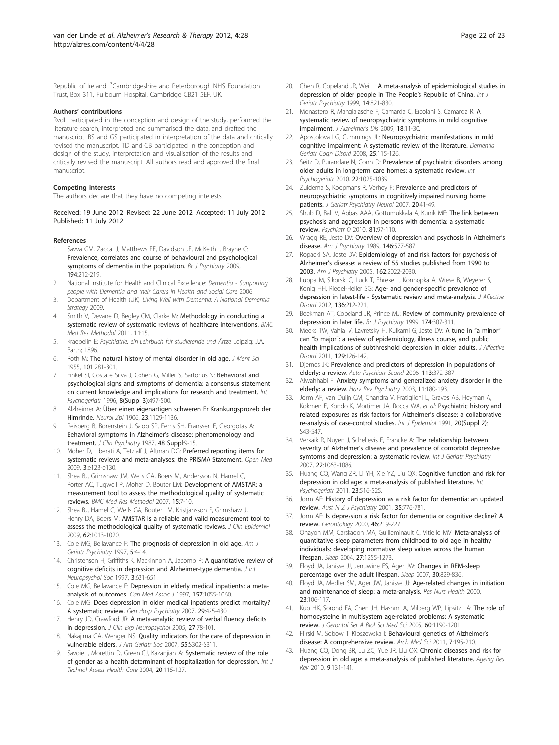<span id="page-21-0"></span>Republic of Ireland. <sup>3</sup>Cambridgeshire and Peterborough NHS Foundation Trust, Box 311, Fulbourn Hospital, Cambridge CB21 5EF, UK.

#### Authors' contributions

RvdL participated in the conception and design of the study, performed the literature search, interpreted and summarised the data, and drafted the manuscript. BS and GS participated in interpretation of the data and critically revised the manuscript. TD and CB participated in the conception and design of the study, interpretation and visualisation of the results and critically revised the manuscript. All authors read and approved the final manuscript.

#### Competing interests

The authors declare that they have no competing interests.

Received: 19 June 2012 Revised: 22 June 2012 Accepted: 11 July 2012 Published: 11 July 2012

#### References

- 1. Savva GM, Zaccai J, Matthews FE, Davidson JE, McKeith I, Brayne C: [Prevalence, correlates and course of behavioural and psychological](http://www.ncbi.nlm.nih.gov/pubmed/19252147?dopt=Abstract) [symptoms of dementia in the population.](http://www.ncbi.nlm.nih.gov/pubmed/19252147?dopt=Abstract) Br J Psychiatry 2009, 194:212-219.
- 2. National Institute for Health and Clinical Excellence: Dementia Supporting people with Dementia and their Carers in Health and Social Care 2006.
- 3. Department of Health (UK): Living Well with Dementia: A National Dementia Strategy 2009.
- 4. Smith V, Devane D, Begley CM, Clarke M: [Methodology in conducting a](http://www.ncbi.nlm.nih.gov/pubmed/21291558?dopt=Abstract) [systematic review of systematic reviews of healthcare interventions.](http://www.ncbi.nlm.nih.gov/pubmed/21291558?dopt=Abstract) BMC Med Res Methodol 2011, 11:15.
- Kraepelin E: Psychiatrie: ein Lehrbuch für studierende und Ärtze Leipzig: J.A. Barth; 1896.
- 6. Roth M: [The natural history of mental disorder in old age.](http://www.ncbi.nlm.nih.gov/pubmed/13243044?dopt=Abstract) J Ment Sci 1955, 101:281-301.
- 7. Finkel SI, Costa e Silva J, Cohen G, Miller S, Sartorius N: [Behavioral and](http://www.ncbi.nlm.nih.gov/pubmed/9154615?dopt=Abstract) [psychological signs and symptoms of dementia: a consensus statement](http://www.ncbi.nlm.nih.gov/pubmed/9154615?dopt=Abstract) [on current knowledge and implications for research and treatment.](http://www.ncbi.nlm.nih.gov/pubmed/9154615?dopt=Abstract) Int Psychogeriatr 1996, 8(Suppl 3):497-500.
- 8. Alzheimer A: Über einen eigenartigen schweren Er Krankungsprozeb der Himrinde. Neurol Zbl 1906, 23:1129-1136.
- 9. Reisberg B, Borenstein J, Salob SP, Ferris SH, Franssen E, Georgotas A: [Behavioral symptoms in Alzheimer](http://www.ncbi.nlm.nih.gov/pubmed/3553166?dopt=Abstract)'s disease: phenomenology and [treatment.](http://www.ncbi.nlm.nih.gov/pubmed/3553166?dopt=Abstract) J Clin Psychiatry 1987, 48 Suppl:9-15.
- 10. Moher D, Liberati A, Tetzlaff J, Altman DG: [Preferred reporting items for](http://www.ncbi.nlm.nih.gov/pubmed/21603045?dopt=Abstract) [systematic reviews and meta-analyses: the PRISMA Statement.](http://www.ncbi.nlm.nih.gov/pubmed/21603045?dopt=Abstract) Open Med 2009, 3:e123-e130.
- 11. Shea BJ, Grimshaw JM, Wells GA, Boers M, Andersson N, Hamel C, Porter AC, Tugwell P, Moher D, Bouter LM: Development of AMSTAR: a measurement tool to assess the methodological quality of systematic reviews. BMC Med Res Methodol 2007, 15:7-10.
- 12. Shea BJ, Hamel C, Wells GA, Bouter LM, Kristjansson E, Grimshaw J, Henry DA, Boers M: [AMSTAR is a reliable and valid measurement tool to](http://www.ncbi.nlm.nih.gov/pubmed/19230606?dopt=Abstract) [assess the methodological quality of systematic reviews.](http://www.ncbi.nlm.nih.gov/pubmed/19230606?dopt=Abstract) J Clin Epidemiol 2009, 62:1013-1020.
- 13. Cole MG, Bellavance F: [The prognosis of depression in old age.](http://www.ncbi.nlm.nih.gov/pubmed/9169240?dopt=Abstract) Am J Geriatr Psychiatry 1997, 5:4-14.
- 14. Christensen H, Griffiths K, Mackinnon A, Jacomb P: [A quantitative review of](http://www.ncbi.nlm.nih.gov/pubmed/9448376?dopt=Abstract) [cognitive deficits in depression and Alzheimer-type dementia.](http://www.ncbi.nlm.nih.gov/pubmed/9448376?dopt=Abstract) J Int Neuropsychol Soc 1997, 3:631-651.
- 15. Cole MG, Bellavance F: Depression in elderly medical inpatients: a metaanalysis of outcomes. Can Med Assoc J 1997, 157:1055-1060.
- 16. Cole MG: [Does depression in older medical inpatients predict mortality?](http://www.ncbi.nlm.nih.gov/pubmed/17888809?dopt=Abstract) [A systematic review.](http://www.ncbi.nlm.nih.gov/pubmed/17888809?dopt=Abstract) Gen Hosp Psychiatry 2007, 29:425-430.
- 17. Henry JD, Crawford JR: [A meta-analytic review of verbal fluency deficits](http://www.ncbi.nlm.nih.gov/pubmed/15814444?dopt=Abstract) [in depression.](http://www.ncbi.nlm.nih.gov/pubmed/15814444?dopt=Abstract) J Clin Exp Neuropsychol 2005, 27:78-101.
- 18. Nakajima GA, Wenger NS: [Quality indicators for the care of depression in](http://www.ncbi.nlm.nih.gov/pubmed/17910551?dopt=Abstract) [vulnerable elders.](http://www.ncbi.nlm.nih.gov/pubmed/17910551?dopt=Abstract) J Am Geriatr Soc 2007, 55:S302-S311.
- 19. Savoie I, Morettin D, Green CJ, Kazanjian A: [Systematic review of the role](http://www.ncbi.nlm.nih.gov/pubmed/15209172?dopt=Abstract) [of gender as a health determinant of hospitalization for depression.](http://www.ncbi.nlm.nih.gov/pubmed/15209172?dopt=Abstract) Int J Technol Assess Health Care 2004, 20:115-127.
- 20. Chen R, Copeland JR, Wei L: [A meta-analysis of epidemiological studies in](http://www.ncbi.nlm.nih.gov/pubmed/10521881?dopt=Abstract) [depression of older people in The People](http://www.ncbi.nlm.nih.gov/pubmed/10521881?dopt=Abstract)'s Republic of China. Int J Geriatr Psychiatry 1999, 14:821-830.
- 21. Monastero R, Mangialasche F, Camarda C, Ercolani S, Camarda R: [A](http://www.ncbi.nlm.nih.gov/pubmed/22844635?dopt=Abstract) [systematic review of neuropsychiatric symptoms in mild cognitive](http://www.ncbi.nlm.nih.gov/pubmed/22844635?dopt=Abstract) [impairment.](http://www.ncbi.nlm.nih.gov/pubmed/22844635?dopt=Abstract) J Alzheimer's Dis 2009, 18:11-30.
- 22. Apostolova LG, Cummings JL: Neuropsychiatric manifestations in mild cognitive impairment: A systematic review of the literature. Dementia Geriatr Cogn Disord 2008, 25:115-126.
- 23. Seitz D, Purandare N, Conn D: [Prevalence of psychiatric disorders among](http://www.ncbi.nlm.nih.gov/pubmed/20522279?dopt=Abstract) [older adults in long-term care homes: a systematic review.](http://www.ncbi.nlm.nih.gov/pubmed/20522279?dopt=Abstract) Int Psychogeriatr 2010, 22:1025-1039.
- 24. Zuidema S, Koopmans R, Verhey F: [Prevalence and predictors of](http://www.ncbi.nlm.nih.gov/pubmed/17341770?dopt=Abstract) [neuropsychiatric symptoms in cognitively impaired nursing home](http://www.ncbi.nlm.nih.gov/pubmed/17341770?dopt=Abstract) [patients.](http://www.ncbi.nlm.nih.gov/pubmed/17341770?dopt=Abstract) J Geriatr Psychiatry Neurol 2007, 20:41-49.
- 25. Shub D, Ball V, Abbas AAA, Gottumukkala A, Kunik ME: [The link between](http://www.ncbi.nlm.nih.gov/pubmed/20058077?dopt=Abstract) [psychosis and aggression in persons with dementia: a systematic](http://www.ncbi.nlm.nih.gov/pubmed/20058077?dopt=Abstract) [review.](http://www.ncbi.nlm.nih.gov/pubmed/20058077?dopt=Abstract) Psychiatr Q 2010, 81:97-110.
- 26. Wragg RE, Jeste DV: [Overview of depression and psychosis in Alzheimer](http://www.ncbi.nlm.nih.gov/pubmed/2653053?dopt=Abstract)'s [disease.](http://www.ncbi.nlm.nih.gov/pubmed/2653053?dopt=Abstract) Am J Psychiatry 1989, 146:577-587.
- 27. Ropacki SA, Jeste DV: [Epidemiology of and risk factors for psychosis of](http://www.ncbi.nlm.nih.gov/pubmed/16263838?dopt=Abstract) Alzheimer'[s disease: a review of 55 studies published from 1990 to](http://www.ncbi.nlm.nih.gov/pubmed/16263838?dopt=Abstract) [2003.](http://www.ncbi.nlm.nih.gov/pubmed/16263838?dopt=Abstract) Am J Psychiatry 2005, 162:2022-2030.
- 28. Luppa M, Sikorski C, Luck T, Ehreke L, Konnopka A, Wiese B, Weyerer S, Konig HH, Riedel-Heller SG: Age- and gender-specific prevalence of depression in latest-life - Systematic review and meta-analysis. J Affective Disord 2012, 136:212-221.
- 29. Beekman AT, Copeland JR, Prince MJ: [Review of community prevalence of](http://www.ncbi.nlm.nih.gov/pubmed/10533549?dopt=Abstract) [depression in later life.](http://www.ncbi.nlm.nih.gov/pubmed/10533549?dopt=Abstract) Br J Psychiatry 1999, 174:307-311.
- 30. Meeks TW, Vahia IV, Lavretsky H, Kulkarni G, Jeste DV: A tune in "a minor" can "b major": a review of epidemiology, illness course, and public health implications of subthreshold depression in older adults. J Affective Disord 2011, 129:126-142.
- 31. Djernes JK: [Prevalence and predictors of depression in populations of](http://www.ncbi.nlm.nih.gov/pubmed/16603029?dopt=Abstract) [elderly: a review.](http://www.ncbi.nlm.nih.gov/pubmed/16603029?dopt=Abstract) Acta Psychiatr Scand 2006, 113:372-387.
- 32. Alwahhabi F: [Anxiety symptoms and generalized anxiety disorder in the](http://www.ncbi.nlm.nih.gov/pubmed/12944126?dopt=Abstract) [elderly: a review.](http://www.ncbi.nlm.nih.gov/pubmed/12944126?dopt=Abstract) Harv Rev Psychiatry 2003, 11:180-193.
- 33. Jorm AF, van Duijn CM, Chandra V, Fratiglioni L, Graves AB, Heyman A, Kokmen E, Kondo K, Mortimer JA, Rocca WA, et al: [Psychiatric history and](http://www.ncbi.nlm.nih.gov/pubmed/1917269?dopt=Abstract) [related exposures as risk factors for Alzheimer](http://www.ncbi.nlm.nih.gov/pubmed/1917269?dopt=Abstract)'s disease: a collaborative [re-analysis of case-control studies.](http://www.ncbi.nlm.nih.gov/pubmed/1917269?dopt=Abstract) Int J Epidemiol 1991, 20(Suppl 2): S43-S47.
- 34. Verkaik R, Nuyen J, Schellevis F, Francke A: [The relationship between](http://www.ncbi.nlm.nih.gov/pubmed/17457960?dopt=Abstract) severity of Alzheimer'[s disease and prevalence of comorbid depressive](http://www.ncbi.nlm.nih.gov/pubmed/17457960?dopt=Abstract) [symtoms and depression: a systematic review.](http://www.ncbi.nlm.nih.gov/pubmed/17457960?dopt=Abstract) Int J Geriatr Psychiatry 2007, 22:1063-1086.
- 35. Huang CQ, Wang ZR, Li YH, Xie YZ, Liu QX: [Cognitive function and risk for](http://www.ncbi.nlm.nih.gov/pubmed/20937170?dopt=Abstract) [depression in old age: a meta-analysis of published literature.](http://www.ncbi.nlm.nih.gov/pubmed/20937170?dopt=Abstract) Int Psychogeriatr 2011, 23:516-525.
- 36. Jorm AF: [History of depression as a risk factor for dementia: an updated](http://www.ncbi.nlm.nih.gov/pubmed/11990888?dopt=Abstract) [review.](http://www.ncbi.nlm.nih.gov/pubmed/11990888?dopt=Abstract) Aust N Z J Psychiatry 2001, 35:776-781.
- 37. Jorm AF: [Is depression a risk factor for dementia or cognitive decline? A](http://www.ncbi.nlm.nih.gov/pubmed/10859462?dopt=Abstract) [review.](http://www.ncbi.nlm.nih.gov/pubmed/10859462?dopt=Abstract) Gerontology 2000, 46:219-227.
- 38. Ohayon MM, Carskadon MA, Guilleminault C, Vitiello MV: [Meta-analysis of](http://www.ncbi.nlm.nih.gov/pubmed/15586779?dopt=Abstract) [quantitative sleep parameters from childhood to old age in healthy](http://www.ncbi.nlm.nih.gov/pubmed/15586779?dopt=Abstract) [individuals: developing normative sleep values across the human](http://www.ncbi.nlm.nih.gov/pubmed/15586779?dopt=Abstract) [lifespan.](http://www.ncbi.nlm.nih.gov/pubmed/15586779?dopt=Abstract) Sleep 2004, 27:1255-1273.
- Floyd JA, Janisse JJ, Jenuwine ES, Ager JW: [Changes in REM-sleep](http://www.ncbi.nlm.nih.gov/pubmed/17682652?dopt=Abstract) [percentage over the adult lifespan.](http://www.ncbi.nlm.nih.gov/pubmed/17682652?dopt=Abstract) Sleep 2007, 30:829-836.
- 40. Floyd JA, Medler SM, Ager JW, Janisse JJ: [Age-related changes in initiation](http://www.ncbi.nlm.nih.gov/pubmed/10782869?dopt=Abstract) [and maintenance of sleep: a meta-analysis.](http://www.ncbi.nlm.nih.gov/pubmed/10782869?dopt=Abstract) Res Nurs Health 2000, 23:106-117.
- 41. Kuo HK, Sorond FA, Chen JH, Hashmi A, Milberg WP, Lipsitz LA: The role of homocysteine in multisystem age-related problems: A systematic review. J Gerontol Ser A Biol Sci Med Sci 2005, 60:1190-1201
- 42. Flirski M, Sobow T, Kloszewska I: [Behavioural genetics of Alzheimer](http://www.ncbi.nlm.nih.gov/pubmed/22291757?dopt=Abstract)'s [disease: A comprehensive review.](http://www.ncbi.nlm.nih.gov/pubmed/22291757?dopt=Abstract) Arch Med Sci 2011, 7:195-210.
- 43. Huang CQ, Dong BR, Lu ZC, Yue JR, Liu QX: [Chronic diseases and risk for](http://www.ncbi.nlm.nih.gov/pubmed/19524072?dopt=Abstract) [depression in old age: a meta-analysis of published literature.](http://www.ncbi.nlm.nih.gov/pubmed/19524072?dopt=Abstract) Ageing Res Rev 2010, 9:131-141.